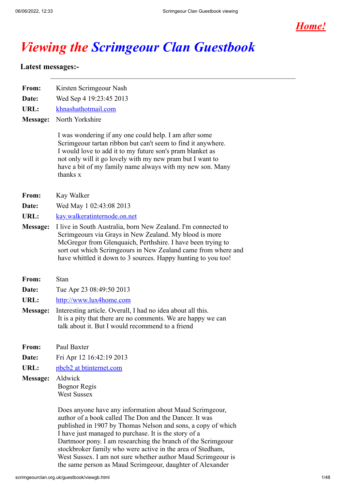

# *Viewing the Scrimgeour Clan Guestbook*

# **Latest messages:-**

| From:           | Kirsten Scrimgeour Nash                                                                                                                                                                                                                                                                                                   |  |  |
|-----------------|---------------------------------------------------------------------------------------------------------------------------------------------------------------------------------------------------------------------------------------------------------------------------------------------------------------------------|--|--|
| Date:           | Wed Sep 4 19:23:45 2013                                                                                                                                                                                                                                                                                                   |  |  |
| URL:            | khnashathotmail.com                                                                                                                                                                                                                                                                                                       |  |  |
| <b>Message:</b> | North Yorkshire                                                                                                                                                                                                                                                                                                           |  |  |
|                 | I was wondering if any one could help. I am after some<br>Scrimgeour tartan ribbon but can't seem to find it anywhere.<br>I would love to add it to my future son's pram blanket as<br>not only will it go lovely with my new pram but I want to<br>have a bit of my family name always with my new son. Many<br>thanks x |  |  |
| From:           | Kay Walker                                                                                                                                                                                                                                                                                                                |  |  |
| Date:           | Wed May 1 02:43:08 2013                                                                                                                                                                                                                                                                                                   |  |  |
| URL:            | kay.walkeratinternode.on.net                                                                                                                                                                                                                                                                                              |  |  |
| <b>Message:</b> | I live in South Australia, born New Zealand. I'm connected to<br>Scrimgeours via Grays in New Zealand. My blood is more<br>McGregor from Glenquaich, Perthshire. I have been trying to<br>sort out which Scrimgeours in New Zealand came from where and<br>have whittled it down to 3 sources. Happy hunting to you too!  |  |  |
| From:           | Stan                                                                                                                                                                                                                                                                                                                      |  |  |
| Date:           | Tue Apr 23 08:49:50 2013                                                                                                                                                                                                                                                                                                  |  |  |
| URL:            | http://www.lux4home.com                                                                                                                                                                                                                                                                                                   |  |  |
| <b>Message:</b> | Interesting article. Overall, I had no idea about all this.<br>It is a pity that there are no comments. We are happy we can<br>talk about it. But I would recommend to a friend                                                                                                                                           |  |  |
| From:           | Paul Baxter                                                                                                                                                                                                                                                                                                               |  |  |
| Date:           | Fri Apr 12 16:42:19 2013                                                                                                                                                                                                                                                                                                  |  |  |
| URL:            | pbcb2 at btinternet.com                                                                                                                                                                                                                                                                                                   |  |  |
| <b>Message:</b> | Aldwick<br>Bognor Regis<br><b>West Sussex</b><br>Does anyone have any information about Maud Scrimgeour,                                                                                                                                                                                                                  |  |  |
|                 | author of a book called The Don and the Dancer. It was<br>published in 1907 by Thomas Nelson and sons, a copy of which<br>I have just managed to purchase. It is the story of a<br>Dartmoor pony. I am researching the branch of the Scrimgeour                                                                           |  |  |

stockbroker family who were active in the area of Stedham, West Sussex. I am not sure whether author Maud Scrimgeour is the same person as Maud Scrimgeour, daughter of Alexander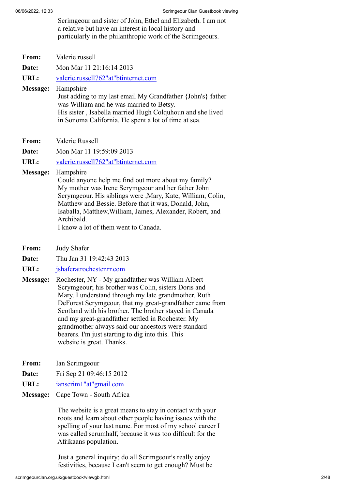Scrimgeour and sister of John, Ethel and Elizabeth. I am not a relative but have an interest in local history and particularly in the philanthropic work of the Scrimgeours.

| From:           | Valerie russell                                                                                                                                                                                                                                                                                                                                                   |
|-----------------|-------------------------------------------------------------------------------------------------------------------------------------------------------------------------------------------------------------------------------------------------------------------------------------------------------------------------------------------------------------------|
| Date:           | Mon Mar 11 21:16:14 2013                                                                                                                                                                                                                                                                                                                                          |
| URL:            | valerie.russell762"at"btinternet.com                                                                                                                                                                                                                                                                                                                              |
| <b>Message:</b> | Hampshire<br>Just adding to my last email My Grandfather {John's} father<br>was William and he was married to Betsy.<br>His sister, Isabella married Hugh Colquhoun and she lived<br>in Sonoma California. He spent a lot of time at sea.                                                                                                                         |
| From:           | Valerie Russell                                                                                                                                                                                                                                                                                                                                                   |
| Date:           | Mon Mar 11 19:59:09 2013                                                                                                                                                                                                                                                                                                                                          |
| URL:            | valerie.russell762"at"btinternet.com                                                                                                                                                                                                                                                                                                                              |
| Message:        | Hampshire<br>Could anyone help me find out more about my family?<br>My mother was Irene Scrymgeour and her father John<br>Scrymgeour. His siblings were , Mary, Kate, William, Colin,<br>Matthew and Bessie. Before that it was, Donald, John,<br>Isaballa, Matthew, William, James, Alexander, Robert, and<br>Archibald.<br>I know a lot of them went to Canada. |

- **From:** Judy Shafer
- **Date:** Thu Jan 31 19:42:43 2013
- **URL:** [jshaferatrochester.rr.com](https://web.archive.org/web/20131218204208if_/http://www.users.freenetname.co.uk/cgi-bin/guestbook/jshaferatrochester.rr.com)
- **Message:** Rochester, NY My grandfather was William Albert Scrymgeour; his brother was Colin, sisters Doris and Mary. I understand through my late grandmother, Ruth DeForest Scrymgeour, that my great-grandfather came from Scotland with his brother. The brother stayed in Canada and my great-grandfather settled in Rochester. My grandmother always said our ancestors were standard bearers. I'm just starting to dig into this. This website is great. Thanks.
- **From:** Ian Scrimgeour
- **Date:** Fri Sep 21 09:46:15 2012
- **URL:** [ianscrim1"at"gmail.com](https://web.archive.org/web/20131218204208if_/http://www.users.freenetname.co.uk/cgi-bin/guestbook/ianscrim1)
- **Message:** Cape Town South Africa

The website is a great means to stay in contact with your roots and learn about other people having issues with the spelling of your last name. For most of my school career I was called scrumhalf, because it was too difficult for the Afrikaans population.

Just a general inquiry; do all Scrimgeour's really enjoy festivities, because I can't seem to get enough? Must be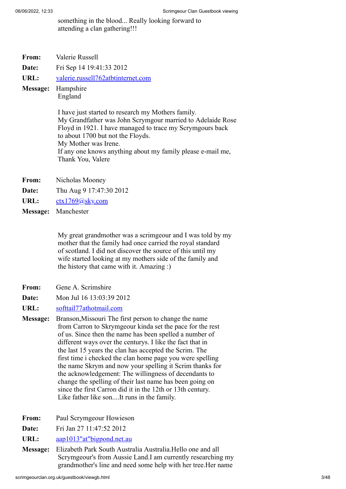something in the blood... Really looking forward to attending a clan gathering!!!

- **From:** Valerie Russell
- **Date:** Fri Sep 14 19:41:33 2012
- **URL:** [valerie.russell762atbtinternet.com](https://web.archive.org/web/20131218204208if_/http://www.users.freenetname.co.uk/cgi-bin/guestbook/valerie.russell762atbtinternet.com)
- **Message:** Hampshire England

I have just started to research my Mothers family. My Grandfather was John Scrymgour married to Adelaide Rose Floyd in 1921. I have managed to trace my Scrymgours back to about 1700 but not the Floyds. My Mother was Irene. If any one knows anything about my family please e-mail me, Thank You, Valere

- **From:** Nicholas Mooney
- **Date:** Thu Aug 9 17:47:30 2012
- URL: [ctx1769@sky.com](https://web.archive.org/web/20131218204208if_/http://www.users.freenetname.co.uk/cgi-bin/guestbook/ctx1769@sky.com)
- **Message:** Manchester

My great grandmother was a scrimgeour and I was told by my mother that the family had once carried the royal standard of scotland. I did not discover the source of this until my wife started looking at my mothers side of the family and the history that came with it. Amazing :)

- **From:** Gene A. Scrimshire
- **Date:** Mon Jul 16 13:03:39 2012
- **URL:** [softtail77athotmail.com](https://web.archive.org/web/20131218204208if_/http://www.users.freenetname.co.uk/cgi-bin/guestbook/softtail77athotmail.com)
- **Message:** Branson,Missouri The first person to change the name from Carron to Skrymgeour kinda set the pace for the rest of us. Since then the name has been spelled a number of different ways over the centurys. I like the fact that in the last 15 years the clan has accepted the Scrim. The first time i checked the clan home page you were spelling the name Skrym and now your spelling it Scrim thanks for the acknowledgement: The willingness of decendants to change the spelling of their last name has been going on since the first Carron did it in the 12th or 13th century. Like father like son....It runs in the family.
- **From:** Paul Scrymgeour Howieson
- **Date:** Fri Jan 27 11:47:52 2012
- URL: [aap1013"at"bigpond.net.au](https://web.archive.org/web/20131218204208if_/http://www.users.freenetname.co.uk/cgi-bin/guestbook/aap1013)
- **Message:** Elizabeth Park South Australia Australia.Hello one and all Scrymgeour's from Aussie Land.I am currently researching my grandmother's line and need some help with her tree.Her name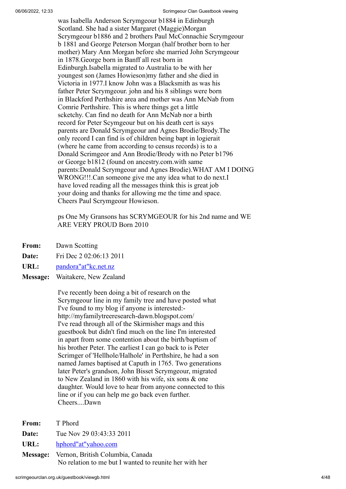was Isabella Anderson Scrymgeour b1884 in Edinburgh Scotland. She had a sister Margaret (Maggie)Morgan Scrymgeour b1886 and 2 brothers Paul McConnachie Scrymgeour b 1881 and George Peterson Morgan (half brother born to her mother) Mary Ann Morgan before she married John Scrymgeour in 1878.George born in Banff all rest born in Edinburgh.Isabella migrated to Australia to be with her youngest son (James Howieson)my father and she died in Victoria in 1977.I know John was a Blacksmith as was his father Peter Scrymgeour. john and his 8 siblings were born in Blackford Perthshire area and mother was Ann McNab from Comrie Perthshire. This is where things get a little scketchy. Can find no death for Ann McNab nor a birth record for Peter Scymgeour but on his death cert is says parents are Donald Scrymgeour and Agnes Brodie/Brody.The only record I can find is of children being bapt in logierait (where he came from according to census records) is to a Donald Scrimgeor and Ann Brodie/Brody with no Peter b1796 or George b1812 (found on ancestry.com.with same parents:Donald Scrymgeour and Agnes Brodie).WHAT AM I DOING WRONG!!!.Can someone give me any idea what to do next.I have loved reading all the messages think this is great job your doing and thanks for allowing me the time and space. Cheers Paul Scrymgeour Howieson.

ps One My Gransons has SCRYMGEOUR for his 2nd name and WE ARE VERY PROUD Born 2010

**From:** Dawn Scotting

**Date:** Fri Dec 2 02:06:13 2011

**URL:** [pandora"at"kc.net.nz](https://web.archive.org/web/20131218204208if_/http://www.users.freenetname.co.uk/cgi-bin/guestbook/pandora)

**Message:** Waitakere, New Zealand

I've recently been doing a bit of research on the Scrymgeour line in my family tree and have posted what I've found to my blog if anyone is interested: http://myfamilytreeresearch-dawn.blogspot.com/ I've read through all of the Skirmisher mags and this guestbook but didn't find much on the line I'm interested in apart from some contention about the birth/baptism of his brother Peter. The earliest I can go back to is Peter Scrimger of 'Hellhole/Halhole' in Perthshire, he had a son named James baptised at Caputh in 1765. Two generations later Peter's grandson, John Bisset Scrymgeour, migrated to New Zealand in 1860 with his wife, six sons & one daughter. Would love to hear from anyone connected to this line or if you can help me go back even further. Cheers....Dawn

- **From:** T Phord
- **Date:** Tue Nov 29 03:43:33 2011
- **URL:** [hphord"at"yahoo.com](https://web.archive.org/web/20131218204208if_/http://www.users.freenetname.co.uk/cgi-bin/guestbook/hphord)

**Message:** Vernon, British Columbia, Canada No relation to me but I wanted to reunite her with her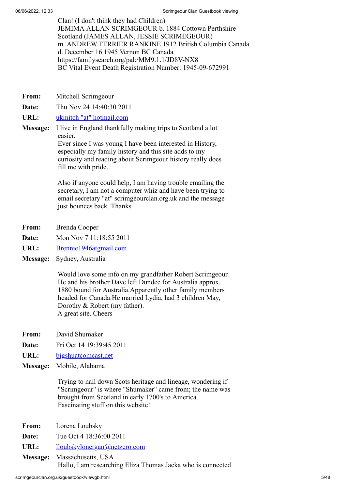Clan! (I don't think they had Children) JEMIMA ALLAN SCRIMGEOUR b. 1884 Cottown Perthshire Scotland (JAMES ALLAN, JESSIE SCRIMEGEOUR) m. ANDREW FERRIER RANKINE 1912 British Columbia Canada d. December 16 1945 Vernon BC Canada https://familysearch.org/pal:/MM9.1.1/JD8V-NX8 BC Vital Event Death Registration Number: 1945-09-672991

- **From:** Mitchell Scrimgeour
- **Date:** Thu Nov 24 14:40:30 2011
- **URL:** [ukmitch "at" hotmail.com](https://web.archive.org/web/20131218204208if_/http://www.users.freenetname.co.uk/cgi-bin/guestbook/ukmitch)
- **Message:** I live in England thankfully making trips to Scotland a lot easier. Ever since I was young I have been interested in History, especially my family history and this site adds to my curiosity and reading about Scrimgeour history really does

fill me with pride.

Also if anyone could help, I am having trouble emailing the secretary, I am not a computer whiz and have been trying to email secretary "at" scrimgeourclan.org.uk and the message just bounces back. Thanks

- **From:** Brenda Cooper
- **Date:** Mon Nov 7 11:18:55 2011
- URL: [Brennie1946atgmail.com](https://web.archive.org/web/20131218204208if_/http://www.users.freenetname.co.uk/cgi-bin/guestbook/Brennie1946atgmail.com)
- **Message:** Sydney, Australia

Would love some info on my grandfather Robert Scrimgeour. He and his brother Dave left Dundee for Australia approx. 1880 bound for Australia.Apparently other family members headed for Canada.He married Lydia, had 3 children May, Dorothy & Robert (my father). A great site. Cheers

- **From:** David Shumaker
- **Date:** Fri Oct 14 19:39:45 2011
- **URL:** [bigshuatcomcast.net](https://web.archive.org/web/20131218204208if_/http://www.users.freenetname.co.uk/cgi-bin/guestbook/bigshuatcomcast.net)
- **Message:** Mobile, Alabama

Trying to nail down Scots heritage and lineage, wondering if "Scrimgeour" is where "Shumaker" came from; the name was brought from Scotland in early 1700's to America. Fascinating stuff on this website!

- **From:** Lorena Loubsky **Date:** Tue Oct 4 18:36:00 2011
- URL: [lloubskylonergan@netzero.com](https://web.archive.org/web/20131218204208if_/http://www.users.freenetname.co.uk/cgi-bin/guestbook/lloubskylonergan@netzero.com)
- **Message:** Massachusetts, USA Hallo, I am researching Eliza Thomas Jacka who is connected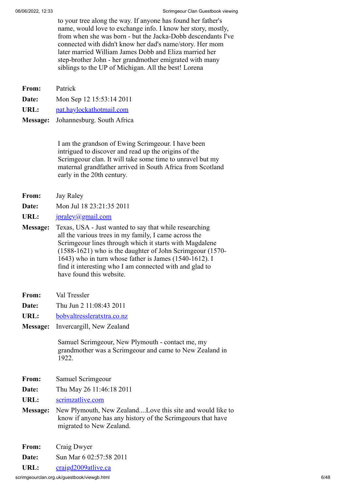to your tree along the way. If anyone has found her father's name, would love to exchange info. I know her story, mostly, from when she was born - but the Jacka-Dobb descendants I've connected with didn't know her dad's name/story. Her mom later married William James Dobb and Eliza married her step-brother John - her grandmother emigrated with many siblings to the UP of Michigan. All the best! Lorena

| <b>From:</b> Patrick |                                     |
|----------------------|-------------------------------------|
| Date:                | Mon Sep 12 15:53:14 2011            |
| URL:                 | pat.haylockathotmail.com            |
|                      | Message: Johannesburg. South Africa |

I am the grandson of Ewing Scrimgeour. I have been intrigued to discover and read up the origins of the Scrimgeour clan. It will take some time to unravel but my maternal grandfather arrived in South Africa from Scotland early in the 20th century.

- **From:** Jay Raley
- **Date:** Mon Jul 18 23:21:35 2011
- URL: **[jpraley@gmail.com](https://web.archive.org/web/20131218204208if_/http://www.users.freenetname.co.uk/cgi-bin/guestbook/jpraley@gmail.com)**
- **Message:** Texas, USA Just wanted to say that while researching all the various trees in my family, I came across the Scrimgeour lines through which it starts with Magdalene (1588-1621) who is the daughter of John Scrimgeour (1570- 1643) who in turn whose father is James (1540-1612). I find it interesting who I am connected with and glad to have found this website.
- **From:** Val Tressler
- **Date:** Thu Jun 2 11:08:43 2011
- **URL:** [bobvaltressleratxtra.co.nz](https://web.archive.org/web/20131218204208if_/http://www.users.freenetname.co.uk/cgi-bin/guestbook/bobvaltressleratxtra.co.nz)
- **Message:** Invercargill, New Zealand

Samuel Scrimgeour, New Plymouth - contact me, my grandmother was a Scrimgeour and came to New Zealand in 1922.

- **From:** Samuel Scrimgeour
- **Date:** Thu May 26 11:46:18 2011
- **URL:** [scrimzatlive.com](https://web.archive.org/web/20131218204208if_/http://www.users.freenetname.co.uk/cgi-bin/guestbook/scrimzatlive.com)
- **Message:** New Plymouth, New Zealand....Love this site and would like to know if anyone has any history of the Scrimgeours that have migrated to New Zealand.
- **From:** Craig Dwyer

**Date:** Sun Mar 6 02:57:58 2011

URL: [craigd2009atlive.ca](https://web.archive.org/web/20131218204208if_/http://www.users.freenetname.co.uk/cgi-bin/guestbook/craigd2009atlive.ca)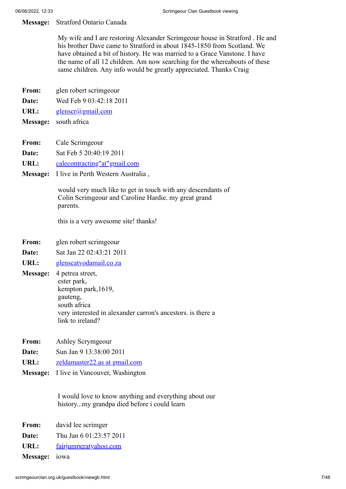## **Message:** Stratford Ontario Canada

My wife and I are restoring Alexander Scrimgeour house in Stratford . He and his brother Dave came to Stratford in about 1845-1850 from Scotland. We have obtained a bit of history. He was married to a Grace Vanstone. I have the name of all 12 children. Am now searching for the whereabouts of these same children. Any info would be greatly appreciated. Thanks Craig

- **From:** glen robert scrimgeour
- **Date:** Wed Feb 9 03:42:18 2011
- URL: [glenscr@gmail.com](https://web.archive.org/web/20131218204208if_/http://www.users.freenetname.co.uk/cgi-bin/guestbook/glenscr@gmail.com)
- **Message:** south africa
- **From:** Cale Scrimgeour
- **Date:** Sat Feb 5 20:40:19 2011
- **URL:** [calecontracting"at"gmail.com](https://web.archive.org/web/20131218204208if_/http://www.users.freenetname.co.uk/cgi-bin/guestbook/calecontracting)
- **Message:** I live in Perth Western Australia ,

would very much like to get in touch with any descendants of Colin Scrimgeour and Caroline Hardie. my great grand parents.

this is a very awesome site! thanks!

- **From:** glen robert scrimgeour
- **Date:** Sat Jan 22 02:43:21 2011
- URL: [glenscatvodamail.co.za](https://web.archive.org/web/20131218204208if_/http://www.users.freenetname.co.uk/cgi-bin/guestbook/glenscatvodamail.co.za)
- **Message:** 4 petrea street, ester park, kempton park,1619, gauteng, south africa very interested in alexander carron's ancestors. is there a link to ireland?
- **From:** Ashley Scrymgeour
- **Date:** Sun Jan 9 13:38:00 2011
- URL: <u>[zeldamaster22.as at gmail.com](https://web.archive.org/web/20131218204208if_/http://www.users.freenetname.co.uk/cgi-bin/guestbook/zeldamaster22.as%20at%20gmail.com)</u>
- **Message:** I live in Vancouver, Washington

I would love to know anything and everything about our history...my grandpa died before i could learn

- **From:** david lee scrimger
- **Date:** Thu Jan 6 01:23:57 2011
- URL: [fairjumperatyahoo.com](https://web.archive.org/web/20131218204208if_/http://www.users.freenetname.co.uk/cgi-bin/guestbook/fairjumperatyahoo.com)
- **Message:** iowa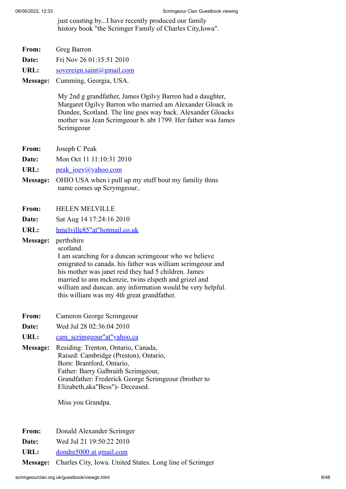just coasting by...I have recently produced our family history book "the Scrimger Family of Charles City,Iowa".

- **From:** Greg Barron
- **Date:** Fri Nov 26 01:15:51 2010
- URL: [sovereign.saint@gmail.com](https://web.archive.org/web/20131218204208if_/http://www.users.freenetname.co.uk/cgi-bin/guestbook/sovereign.saint@gmail.com)
- **Message:** Cumming, Georgia, USA.

My 2nd g grandfather, James Ogilvy Barron had a daughter, Margaret Ogilvy Barron who married am Alexander Gloack in Dundee, Scotland. The line goes way back. Alexander Gloacks mother was Jean Scrimgeour b. abt 1799. Her father was James Scrimgeour

- **From:** Joseph C Peak
- **Date:** Mon Oct 11 11:10:31 2010

URL: [peak\\_joey@yahoo.com](https://web.archive.org/web/20131218204208if_/http://www.users.freenetname.co.uk/cgi-bin/guestbook/peak_joey@yahoo.com)

- **Message:** OHIO USA when i pull up my stuff bout my familiy thins name comes up Scrymgeour..
- **From:** HELEN MELVILLE
- **Date:** Sat Aug 14 17:24:16 2010
- **URL:** [hmelville85"at"hotmail.co.uk](https://web.archive.org/web/20131218204208if_/http://www.users.freenetname.co.uk/cgi-bin/guestbook/hmelville85)

**Message:** perthshire scotland.

I am searching for a duncan scrimgeour who we believe emigrated to canada. his father was william scrimgeour and his mother was janet reid they had 5 children. James married to ann mckenzie, twins elspeth and grizel and william and duncan. any information would be very helpful. this william was my 4th great grandfather.

- **From:** Cameron George Scrimgeour
- **Date:** Wed Jul 28 02:36:04 2010
- URL: cam scrimgeour"at"yahoo.ca
- **Message:** Residing: Trenton, Ontario, Canada, Raised: Cambridge (Preston), Ontario, Born: Brantford, Ontario, Father: Barry Galbraith Scrimgeour, Grandfather: Frederick George Scrimgeour (brother to Elizabeth,aka"Bess")- Deceased.

Miss you Grandpa.

- **From:** Donald Alexander Scrimger
- **Date:** Wed Jul 21 19:50:22 2010
- URL: [dondre5000 at gmail.com](https://web.archive.org/web/20131218204208if_/http://www.users.freenetname.co.uk/cgi-bin/guestbook/dondre5000%20at%20gmail.com)

**Message:** Charles City, Iowa. United States. Long line of Scrimger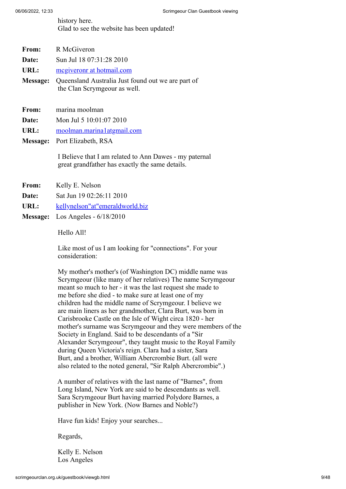history here. Glad to see the website has been updated!

| <b>From:</b> | R McGiveron                                                                        |
|--------------|------------------------------------------------------------------------------------|
| Date:        | Sun Jul 18 07:31:28 2010                                                           |
| URL:         | megiveronr at hotmail.com                                                          |
| Message:     | Queensland Australia Just found out we are part of<br>the Clan Scrymgeour as well. |
| From:        | marina moolman                                                                     |

- **Date:** Mon Jul 5 10:01:07 2010
- **URL:** [moolman.marina1atgmail.com](https://web.archive.org/web/20131218204208if_/http://www.users.freenetname.co.uk/cgi-bin/guestbook/moolman.marina1atgmail.com)
- **Message:** Port Elizabeth, RSA

I Believe that I am related to Ann Dawes - my paternal great grandfather has exactly the same details.

- **From:** Kelly E. Nelson
- **Date:** Sat Jun 19 02:26:11 2010
- URL: [kellynelson"at"emeraldworld.biz](https://web.archive.org/web/20131218204208if_/http://www.users.freenetname.co.uk/cgi-bin/guestbook/kellynelson)
- **Message:** Los Angeles 6/18/2010

Hello All!

Like most of us I am looking for "connections". For your consideration:

My mother's mother's (of Washington DC) middle name was Scrymgeour (like many of her relatives) The name Scrymgeour meant so much to her - it was the last request she made to me before she died - to make sure at least one of my children had the middle name of Scrymgeour. I believe we are main liners as her grandmother, Clara Burt, was born in Carisbrooke Castle on the Isle of Wight circa 1820 - her mother's surname was Scrymgeour and they were members of the Society in England. Said to be descendants of a "Sir Alexander Scrymgeour", they taught music to the Royal Family during Queen Victoria's reign. Clara had a sister, Sara Burt, and a brother, William Abercrombie Burt. (all were also related to the noted general, "Sir Ralph Abercrombie".)

A number of relatives with the last name of "Barnes", from Long Island, New York are said to be descendants as well. Sara Scrymgeour Burt having married Polydore Barnes, a publisher in New York. (Now Barnes and Noble?)

Have fun kids! Enjoy your searches...

Regards,

Kelly E. Nelson Los Angeles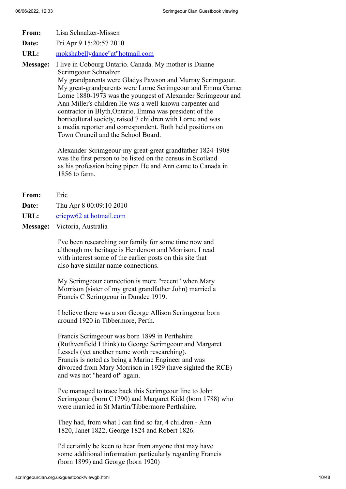**From:** Lisa Schnalzer-Missen **Date:** Fri Apr 9 15:20:57 2010 **URL:** [mokshabellydance"at"hotmail.com](https://web.archive.org/web/20131218204208if_/http://www.users.freenetname.co.uk/cgi-bin/guestbook/mokshabellydance) **Message:** I live in Cobourg Ontario. Canada. My mother is Dianne Scrimgeour Schnalzer. My grandparents were Gladys Pawson and Murray Scrimgeour. My great-grandparents were Lorne Scrimgeour and Emma Garner Lorne 1880-1973 was the youngest of Alexander Scrimgeour and Ann Miller's children.He was a well-known carpenter and contractor in Blyth,Ontario. Emma was president of the horticultural society, raised 7 children with Lorne and was

> a media reporter and correspondent. Both held positions on Town Council and the School Board.

Alexander Scrimgeour-my great-great grandfather 1824-1908 was the first person to be listed on the census in Scotland as his profession being piper. He and Ann came to Canada in 1856 to farm.

- **From:** Eric
- **Date:** Thu Apr 8 00:09:10 2010
- **URL:** [ericpw62 at hotmail.com](https://web.archive.org/web/20131218204208if_/http://www.users.freenetname.co.uk/cgi-bin/guestbook/ericpw62%20at%20hotmail.com)
- **Message:** Victoria, Australia

I've been researching our family for some time now and although my heritage is Henderson and Morrison, I read with interest some of the earlier posts on this site that also have similar name connections.

My Scrimgeour connection is more "recent" when Mary Morrison (sister of my great grandfather John) married a Francis C Scrimgeour in Dundee 1919.

I believe there was a son George Allison Scrimgeour born around 1920 in Tibbermore, Perth.

Francis Scrimgeour was born 1899 in Perthshire (Ruthvenfield I think) to George Scrimgeour and Margaret Lessels (yet another name worth researching). Francis is noted as being a Marine Engineer and was divorced from Mary Morrison in 1929 (have sighted the RCE) and was not "heard of" again.

I've managed to trace back this Scrimgeour line to John Scrimgeour (born C1790) and Margaret Kidd (born 1788) who were married in St Martin/Tibbermore Perthshire.

They had, from what I can find so far, 4 children - Ann 1820, Janet 1822, George 1824 and Robert 1826.

I'd certainly be keen to hear from anyone that may have some additional information particularly regarding Francis (born 1899) and George (born 1920)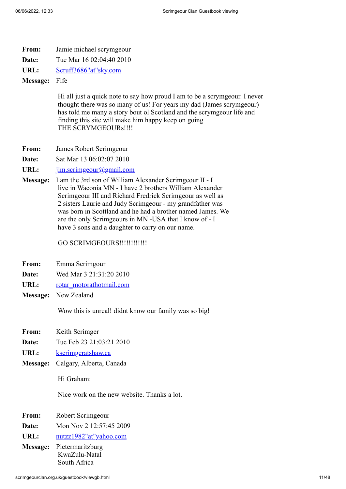| From: | Jamie michael scrymgeour |  |
|-------|--------------------------|--|
|-------|--------------------------|--|

**Date:** Tue Mar 16 02:04:40 2010

**URL:** [Scruff3686"at"sky.com](https://web.archive.org/web/20131218204208if_/http://www.users.freenetname.co.uk/cgi-bin/guestbook/Scruff3686)

**Message:** Fife

Hi all just a quick note to say how proud I am to be a scrymgeour. I never thought there was so many of us! For years my dad (James scrymgeour) has told me many a story bout ol Scotland and the scrymgeour life and finding this site will make him happy keep on going THE SCRYMGEOURs!!!!

- **From:** James Robert Scrimgeour
- **Date:** Sat Mar 13 06:02:07 2010

URL: [jim.scrimgeour@gmail.com](https://web.archive.org/web/20131218204208if_/http://www.users.freenetname.co.uk/cgi-bin/guestbook/jim.scrimgeour@gmail.com)

**Message:** I am the 3rd son of William Alexander Scrimgeour II - I live in Waconia MN - I have 2 brothers William Alexander Scrimgeour III and Richard Fredrick Scrimgeour as well as 2 sisters Laurie and Judy Scrimgeour - my grandfather was was born in Scottland and he had a brother named James. We are the only Scrimgeours in MN -USA that I know of - I have 3 sons and a daughter to carry on our name.

GO SCRIMGEOURS!!!!!!!!!!!!!!

- **From:** Emma Scrimgour
- **Date:** Wed Mar 3 21:31:20 2010
- URL: [rotar\\_motorathotmail.com](https://web.archive.org/web/20131218204208if_/http://www.users.freenetname.co.uk/cgi-bin/guestbook/rotar_motorathotmail.com)
- **Message:** New Zealand

Wow this is unreal! didnt know our family was so big!

- **From:** Keith Scrimger
- **Date:** Tue Feb 23 21:03:21 2010
- URL: [kscrimgeratshaw.ca](https://web.archive.org/web/20131218204208if_/http://www.users.freenetname.co.uk/cgi-bin/guestbook/kscrimgeratshaw.ca)
- **Message:** Calgary, Alberta, Canada

Hi Graham:

Nice work on the new website. Thanks a lot.

- **From:** Robert Scrimgeour
- **Date:** Mon Nov 2 12:57:45 2009
- **URL:** [nutzz1982"at"yahoo.com](https://web.archive.org/web/20131218204208if_/http://www.users.freenetname.co.uk/cgi-bin/guestbook/nutzz1982)
- **Message:** Pietermaritzburg KwaZulu-Natal South Africa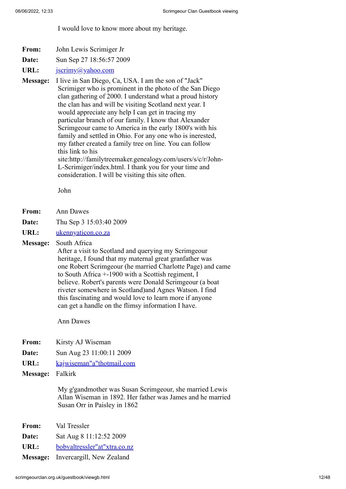I would love to know more about my heritage.

- **From:** John Lewis Scrimiger Jr
- **Date:** Sun Sep 27 18:56:57 2009
- URL: <u>jscrimy</u>@yahoo.com

**Message:** I live in San Diego, Ca, USA. I am the son of "Jack" Scrimiger who is prominent in the photo of the San Diego clan gathering of 2000. I understand what a proud history the clan has and will be visiting Scotland next year. I would appreciate any help I can get in tracing my particular branch of our family. I know that Alexander Scrimgeour came to America in the early 1800's with his family and settled in Ohio. For any one who is inerested, my father created a family tree on line. You can follow this link to his site:http://familytreemaker.genealogy.com/users/s/c/r/John-L-Scrimiger/index.html. I thank you for your time and consideration. I will be visiting this site often.

John

- **From:** Ann Dawes
- **Date:** Thu Sep 3 15:03:40 2009
- **URL:** [ukennyaticon.co.za](https://web.archive.org/web/20131218204208if_/http://www.users.freenetname.co.uk/cgi-bin/guestbook/ukennyaticon.co.za)

**Message:** South Africa

After a visit to Scotland and querying my Scrimgeour heritage, I found that my maternal great granfather was one Robert Scrimgeour (he married Charlotte Page) and came to South Africa +-1900 with a Scottish regiment, I believe. Robert's parents were Donald Scrimgeour (a boat riveter somewhere in Scotland)and Agnes Watson. I find this fascinating and would love to learn more if anyone can get a handle on the flimsy information I have.

Ann Dawes

- **From:** Kirsty AJ Wiseman
- **Date:** Sun Aug 23 11:00:11 2009
- **URL:** [kajwiseman"a"thotmail.com](https://web.archive.org/web/20131218204208if_/http://www.users.freenetname.co.uk/cgi-bin/guestbook/kajwiseman)
- **Message:** Falkirk

My g'gandmother was Susan Scrimgeour, she married Lewis Allan Wiseman in 1892. Her father was James and he married Susan Orr in Paisley in 1862

| From: | Val Tressler                       |
|-------|------------------------------------|
| Date: | Sat Aug 8 11:12:52 2009            |
| URL:  | bobvaltressler"at"xtra.co.nz       |
|       | Message: Invercargill, New Zealand |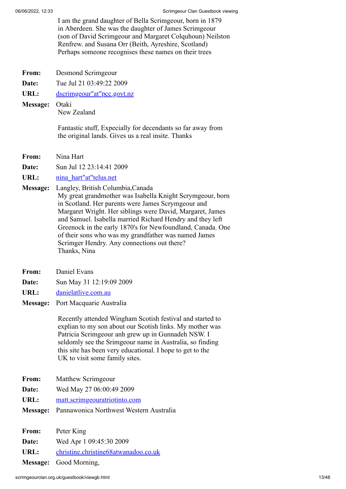I am the grand daughter of Bella Scrimgeour, born in 1879 in Aberdeen. She was the daughter of James Scrimgeour (son of David Scrimgeour and Margaret Colquhoun) Neilston Renfrew. and Susana Orr (Beith, Ayreshire, Scotland) Perhaps someone recognises these names on their trees

- **From:** Desmond Scrimgeour
- **Date:** Tue Jul 21 03:49:22 2009

URL: [dscrimgeour"at"pcc.govt.nz](https://web.archive.org/web/20131218204208if_/http://www.users.freenetname.co.uk/cgi-bin/guestbook/dscrimgeour)

**Message:** Otaki New Zealand

> Fantastic stuff, Expecially for decendants so far away from the original lands. Gives us a real insite. Thanks

- **From:** Nina Hart
- **Date:** Sun Jul 12 23:14:41 2009
- **URL:** [nina\\_hart"at"telus.net](https://web.archive.org/web/20131218204208if_/http://www.users.freenetname.co.uk/cgi-bin/guestbook/nina_hart)
- **Message:** Langley, British Columbia,Canada My great grandmother was Isabella Knight Scrymgeour, born in Scotland. Her parents were James Scrymgeour and Margaret Wright. Her siblings were David, Margaret, James and Samuel. Isabella married Richard Hendry and they left Greenock in the early 1870's for Newfoundland, Canada. One of their sons who was my grandfather was named James Scrimger Hendry. Any connections out there? Thanks, Nina
- **From:** Daniel Evans
- **Date:** Sun May 31 12:19:09 2009
- **URL:** [danielatlive.com.au](https://web.archive.org/web/20131218204208if_/http://www.users.freenetname.co.uk/cgi-bin/guestbook/danielatlive.com.au)
- **Message:** Port Macquarie Australia

Recently attended Wingham Scotish festival and started to explian to my son about our Scotish links. My mother was Patricia Scrimgeour anh grew up in Gunnadeh NSW. I seldomly see the Srimgeour name in Australia, so finding this site has been very educational. I hope to get to the UK to visit some family sites.

- **From:** Matthew Scrimgeour
- **Date:** Wed May 27 06:00:49 2009
- **URL:** [matt.scrimgeouratriotinto.com](https://web.archive.org/web/20131218204208if_/http://www.users.freenetname.co.uk/cgi-bin/guestbook/matt.scrimgeouratriotinto.com)
- **Message:** Pannawonica Northwest Western Australia

| <b>From:</b> | Peter King                           |
|--------------|--------------------------------------|
| Date:        | Wed Apr 1 09:45:30 2009              |
| URL:         | christine.christine68atwanadoo.co.uk |
|              | <b>Message:</b> Good Morning,        |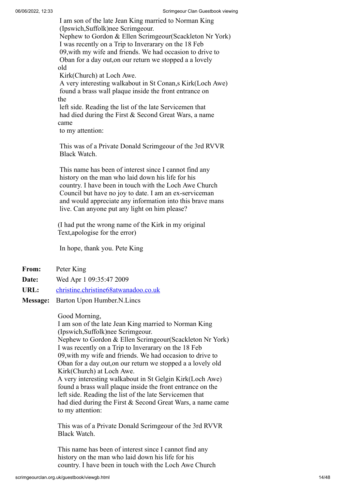I am son of the late Jean King married to Norman King (Ipswich,Suffolk)nee Scrimgeour. Nephew to Gordon & Ellen Scrimgeour(Scackleton Nr York) I was recently on a Trip to Inverarary on the 18 Feb 09,with my wife and friends. We had occasion to drive to Oban for a day out,on our return we stopped a a lovely old Kirk(Church) at Loch Awe.

 A very interesting walkabout in St Conan,s Kirk(Loch Awe) found a brass wall plaque inside the front entrance on the

 left side. Reading the list of the late Servicemen that had died during the First & Second Great Wars, a name came

to my attention:

 This was of a Private Donald Scrimgeour of the 3rd RVVR Black Watch.

 This name has been of interest since I cannot find any history on the man who laid down his life for his country. I have been in touch with the Loch Awe Church Council but have no joy to date. I am an ex-serviceman and would appreciate any information into this brave mans live. Can anyone put any light on him please?

(I had put the wrong name of the Kirk in my original Text,apologise for the error)

In hope, thank you. Pete King

- **From:** Peter King
- **Date:** Wed Apr 1 09:35:47 2009
- **URL:** [christine.christine68atwanadoo.co.uk](https://web.archive.org/web/20131218204208if_/http://www.users.freenetname.co.uk/cgi-bin/guestbook/christine.christine68atwanadoo.co.uk)
- **Message:** Barton Upon Humber.N.Lincs

#### Good Morning,

I am son of the late Jean King married to Norman King (Ipswich,Suffolk)nee Scrimgeour. Nephew to Gordon & Ellen Scrimgeour(Scackleton Nr York) I was recently on a Trip to Inverarary on the 18 Feb 09,with my wife and friends. We had occasion to drive to Oban for a day out,on our return we stopped a a lovely old Kirk(Church) at Loch Awe. A very interesting walkabout in St Gelgin Kirk(Loch Awe) found a brass wall plaque inside the front entrance on the left side. Reading the list of the late Servicemen that had died during the First & Second Great Wars, a name came to my attention:

This was of a Private Donald Scrimgeour of the 3rd RVVR Black Watch.

This name has been of interest since I cannot find any history on the man who laid down his life for his country. I have been in touch with the Loch Awe Church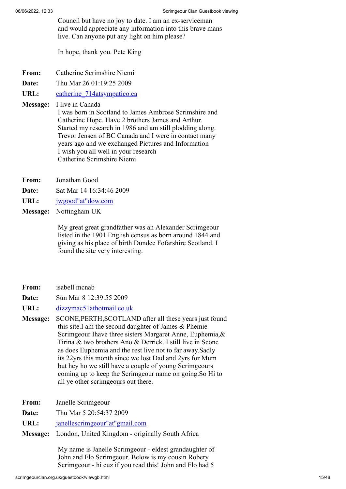Council but have no joy to date. I am an ex-serviceman and would appreciate any information into this brave mans live. Can anyone put any light on him please?

In hope, thank you. Pete King

- **From:** Catherine Scrimshire Niemi
- **Date:** Thu Mar 26 01:19:25 2009
- URL: catherine 714atsympatico.ca
- **Message:** I live in Canada

I was born in Scotland to James Ambrose Scrimshire and Catherine Hope. Have 2 brothers James and Arthur. Started my research in 1986 and am still plodding along. Trevor Jensen of BC Canada and I were in contact many years ago and we exchanged Pictures and Information I wish you all well in your research Catherine Scrimshire Niemi

- **From:** Jonathan Good
- **Date:** Sat Mar 14 16:34:46 2009
- **URL:** [jwgood"at"dow.com](https://web.archive.org/web/20131218204208if_/http://www.users.freenetname.co.uk/cgi-bin/guestbook/jwgood)
- **Message:** Nottingham UK

My great great grandfather was an Alexander Scrimgeour listed in the 1901 English census as born around 1844 and giving as his place of birth Dundee Fofarshire Scotland. I found the site very interesting.

- **From:** isabell mcnab
- **Date:** Sun Mar 8 12:39:55 2009
- URL: [dizzymac51athotmail.co.uk](https://web.archive.org/web/20131218204208if_/http://www.users.freenetname.co.uk/cgi-bin/guestbook/dizzymac51athotmail.co.uk)
- **Message:** SCONE,PERTH,SCOTLAND after all these years just found this site.I am the second daughter of James & Phemie Scrimgeour Ihave three sisters Margaret Anne, Euphemia,& Tirina & two brothers Ano & Derrick. I still live in Scone as does Euphemia and the rest live not to far away.Sadly its 22yrs this month since we lost Dad and 2yrs for Mum but hey ho we still have a couple of young Scrimgeours coming up to keep the Scrimgeour name on going.So Hi to all ye other scrimgeours out there.
- **From:** Janelle Scrimgeour
- **Date:** Thu Mar 5 20:54:37 2009
- **URL:** [janellescrimgeour"at"gmail.com](https://web.archive.org/web/20131218204208if_/http://www.users.freenetname.co.uk/cgi-bin/guestbook/janellescrimgeour)
- **Message:** London, United Kingdom originally South Africa

My name is Janelle Scrimgeour - eldest grandaughter of John and Flo Scrimgeour. Below is my cousin Robery Scrimgeour - hi cuz if you read this! John and Flo had 5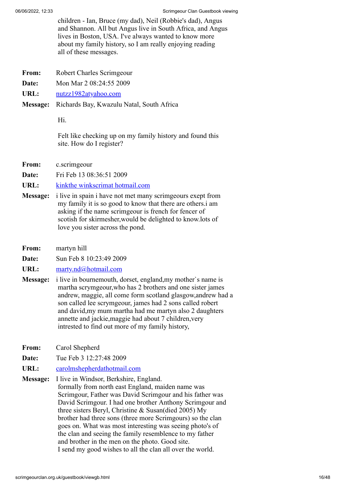children - Ian, Bruce (my dad), Neil (Robbie's dad), Angus and Shannon. All but Angus live in South Africa, and Angus lives in Boston, USA. I've always wanted to know more about my family history, so I am really enjoying reading all of these messages.

- **From:** Robert Charles Scrimgeour
- **Date:** Mon Mar 2 08:24:55 2009
- **URL:** [nutzz1982atyahoo.com](https://web.archive.org/web/20131218204208if_/http://www.users.freenetname.co.uk/cgi-bin/guestbook/nutzz1982atyahoo.com)
- **Message:** Richards Bay, Kwazulu Natal, South Africa

Hi.

Felt like checking up on my family history and found this site. How do I register?

**From:** c.scrimgeour

**Date:** Fri Feb 13 08:36:51 2009

- **URL:** [kinkthe winkscrimat hotmail.com](https://web.archive.org/web/20131218204208if_/http://www.users.freenetname.co.uk/cgi-bin/guestbook/kinkthe%20winkscrimat%20hotmail.com)
- **Message:** i live in spain i have not met many scrimgeours exept from my family it is so good to know that there are others.i am asking if the name scrimgeour is french for fencer of scotish for skirmesher,would be delighted to know.lots of love you sister across the pond.
- **From:** martyn hill
- **Date:** Sun Feb 8 10:23:49 2009
- URL: [marty.nd@hotmail.com](https://web.archive.org/web/20131218204208if_/http://www.users.freenetname.co.uk/cgi-bin/guestbook/marty.nd@hotmail.com)
- **Message:** i live in bournemouth, dorset, england,my mother`s name is martha scrymgeour,who has 2 brothers and one sister james andrew, maggie, all come form scotland glasgow,andrew had a son called lee scrymgeour, james had 2 sons called robert and david,my mum martha had me martyn also 2 daughters annette and jackie,maggie had about 7 children,very intrested to find out more of my family history,
- **From:** Carol Shepherd
- **Date:** Tue Feb 3 12:27:48 2009
- **URL:** [carolmshepherdathotmail.com](https://web.archive.org/web/20131218204208if_/http://www.users.freenetname.co.uk/cgi-bin/guestbook/carolmshepherdathotmail.com)
- **Message:** I live in Windsor, Berkshire, England. formally from north east England, maiden name was Scrimgour, Father was David Scrimgour and his father was David Scrimgour. I had one brother Anthony Scrimgour and three sisters Beryl, Christine & Susan(died 2005) My brother had three sons (three more Scrimgours) so the clan goes on. What was most interesting was seeing photo's of the clan and seeing the family resemblence to my father and brother in the men on the photo. Good site. I send my good wishes to all the clan all over the world.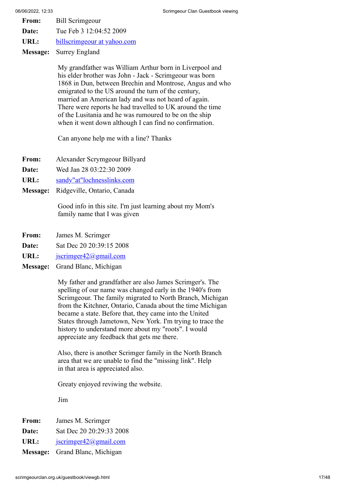- **From:** Bill Scrimgeour
- **Date:** Tue Feb 3 12:04:52 2009
- **URL:** [billscrimgeour at yahoo.com](https://web.archive.org/web/20131218204208if_/http://www.users.freenetname.co.uk/cgi-bin/guestbook/billscrimgeour%20at%20yahoo.com)
- **Message:** Surrey England

My grandfather was William Arthur born in Liverpool and his elder brother was John - Jack - Scrimgeour was born 1868 in Dun, between Brechin and Montrose, Angus and who emigrated to the US around the turn of the century, married an American lady and was not heard of again. There were reports he had travelled to UK around the time of the Lusitania and he was rumoured to be on the ship when it went down although I can find no confirmation.

Can anyone help me with a line? Thanks

- **From:** Alexander Scrymgeour Billyard
- **Date:** Wed Jan 28 03:22:30 2009
- **URL:** [sandy"at"lochnesslinks.com](https://web.archive.org/web/20131218204208if_/http://www.users.freenetname.co.uk/cgi-bin/guestbook/sandy)
- **Message:** Ridgeville, Ontario, Canada

Good info in this site. I'm just learning about my Mom's family name that I was given

- **From:** James M. Scrimger
- **Date:** Sat Dec 20 20:39:15 2008
- URL: <u>[jscrimger42@gmail.com](https://web.archive.org/web/20131218204208if_/http://www.users.freenetname.co.uk/cgi-bin/guestbook/jscrimger42@gmail.com)</u>
- **Message:** Grand Blanc, Michigan

My father and grandfather are also James Scrimger's. The spelling of our name was changed early in the 1940's from Scrimgeour. The family migrated to North Branch, Michigan from the Kitchner, Ontario, Canada about the time Michigan became a state. Before that, they came into the United States through Jametown, New York. I'm trying to trace the history to understand more about my "roots". I would appreciate any feedback that gets me there.

Also, there is another Scrimger family in the North Branch area that we are unable to find the "missing link". Help in that area is appreciated also.

Greaty enjoyed reviwing the website.

Jim

- **From:** James M. Scrimger
- **Date:** Sat Dec 20 20:29:33 2008
- URL: [jscrimger42@gmail.com](https://web.archive.org/web/20131218204208if_/http://www.users.freenetname.co.uk/cgi-bin/guestbook/jscrimger42@gmail.com)
- **Message:** Grand Blanc, Michigan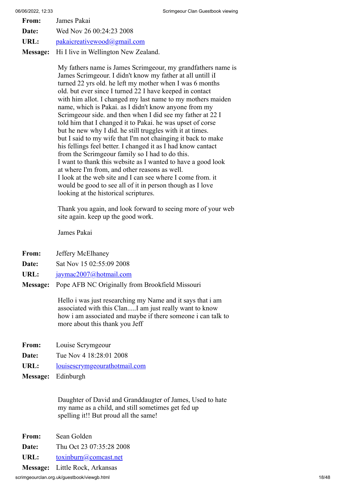| From: | James Pakai                 |
|-------|-----------------------------|
| Date: | Wed Nov 26 00:24:23 2008    |
| URL:  | pakaicreativewood@gmail.com |

**Message:** Hi I live in Wellington New Zealand.

My fathers name is James Scrimgeour, my grandfathers name is James Scrimgeour. I didn't know my father at all untill iI turned 22 yrs old. he left my mother when I was 6 months old. but ever since I turned 22 I have keeped in contact with him allot. I changed my last name to my mothers maiden name, which is Pakai. as I didn't know anyone from my Scrimgeour side. and then when I did see my father at 22 I told him that I changed it to Pakai. he was upset of corse but he new why I did. he still truggles with it at times. but I said to my wife that I'm not chainging it back to make his fellings feel better. I changed it as I had know cantact from the Scrimgeour family so I had to do this. I want to thank this website as I wanted to have a good look at where I'm from, and other reasons as well. I look at the web site and I can see where I come from. it would be good to see all of it in person though as I love looking at the historical scriptures.

Thank you again, and look forward to seeing more of your web site again. keep up the good work.

James Pakai

- **From:** Jeffery McElhaney
- **Date:** Sat Nov 15 02:55:09 2008
- URL: j<u>aymac2007@hotmail.com</u>
- **Message:** Pope AFB NC Originally from Brookfield Missouri

Hello i was just researching my Name and it says that i am associated with this Clan.....I am just really want to know how i am associated and maybe if there someone i can talk to more about this thank you Jeff

- **From:** Louise Scrymgeour
- **Date:** Tue Nov 4 18:28:01 2008
- URL: [louisescrymgeourathotmail.com](https://web.archive.org/web/20131218204208if_/http://www.users.freenetname.co.uk/cgi-bin/guestbook/louisescrymgeourathotmail.com)
- **Message:** Edinburgh

Daughter of David and Granddaugter of James, Used to hate my name as a child, and still sometimes get fed up spelling it!! But proud all the same!

- **From:** Sean Golden
- **Date:** Thu Oct 23 07:35:28 2008
- URL: [toxinburn@comcast.net](https://web.archive.org/web/20131218204208if_/http://www.users.freenetname.co.uk/cgi-bin/guestbook/toxinburn@comcast.net)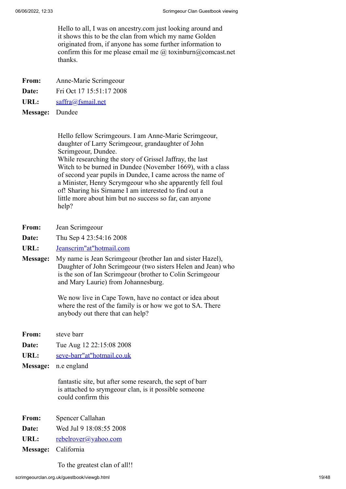Hello to all, I was on ancestry.com just looking around and it shows this to be the clan from which my name Golden originated from, if anyone has some further information to confirm this for me please email me  $\omega$  toxinburn $\omega$ comcast.net thanks.

- **From:** Anne-Marie Scrimgeour
- **Date:** Fri Oct 17 15:51:17 2008
- **URL:** [saffra@fsmail.net](https://web.archive.org/web/20131218204208if_/http://www.users.freenetname.co.uk/cgi-bin/guestbook/saffra@fsmail.net)
- **Message:** Dundee

Hello fellow Scrimgeours. I am Anne-Marie Scrimgeour, daughter of Larry Scrimgeour, grandaughter of John Scrimgeour, Dundee. While researching the story of Grissel Jaffray, the last Witch to be burned in Dundee (November 1669), with a class of second year pupils in Dundee, I came across the name of a Minister, Henry Scrymgeour who she apparently fell foul of! Sharing his Sirname I am interested to find out a little more about him but no success so far, can anyone help?

- **From:** Jean Scrimgeour
- **Date:** Thu Sep 4 23:54:16 2008
- **URL:** [Jeanscrim"at"hotmail.com](https://web.archive.org/web/20131218204208if_/http://www.users.freenetname.co.uk/cgi-bin/guestbook/Jeanscrim)
- **Message:** My name is Jean Scrimgeour (brother Ian and sister Hazel), Daughter of John Scrimgeour (two sisters Helen and Jean) who is the son of Ian Scrimgeour (brother to Colin Scrimgeour and Mary Laurie) from Johannesburg.

We now live in Cape Town, have no contact or idea about where the rest of the family is or how we got to SA. There anybody out there that can help?

- **From:** steve barr
- **Date:** Tue Aug 12 22:15:08 2008
- **URL:** [seve-barr"at"hotmail.co.uk](https://web.archive.org/web/20131218204208if_/http://www.users.freenetname.co.uk/cgi-bin/guestbook/seve-barr)
- **Message:** n.e england

fantastic site, but after some research, the sept of barr is attached to srymgeour clan, is it possible someone could confirm this

- **From:** Spencer Callahan
- **Date:** Wed Jul 9 18:08:55 2008
- URL: [rebelrover@yahoo.com](https://web.archive.org/web/20131218204208if_/http://www.users.freenetname.co.uk/cgi-bin/guestbook/rebelrover@yahoo.com)
- **Message:** California

To the greatest clan of all!!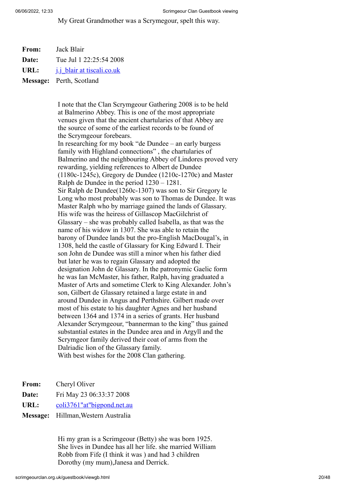My Great Grandmother was a Scrymegour, spelt this way.

| From: | Jack Blair |
|-------|------------|
|       |            |

**Date:** Tue Jul 1 22:25:54 2008

URL: [j.j\\_blair at tiscali.co.uk](https://web.archive.org/web/20131218204208if_/http://www.users.freenetname.co.uk/cgi-bin/guestbook/j.j_blair%20at%20tiscali.co.uk)

**Message:** Perth, Scotland

I note that the Clan Scrymgeour Gathering 2008 is to be held at Balmerino Abbey. This is one of the most appropriate venues given that the ancient chartularies of that Abbey are the source of some of the earliest records to be found of the Scrymgeour forebears. In researching for my book "de Dundee – an early burgess family with Highland connections" , the chartularies of Balmerino and the neighbouring Abbey of Lindores proved very rewarding, yielding references to Albert de Dundee (1180c-1245c), Gregory de Dundee (1210c-1270c) and Master Ralph de Dundee in the period 1230 – 1281. Sir Ralph de Dundee(1260c-1307) was son to Sir Gregory le Long who most probably was son to Thomas de Dundee. It was Master Ralph who by marriage gained the lands of Glassary. His wife was the heiress of Gillascop MacGilchrist of Glassary – she was probably called Isabella, as that was the name of his widow in 1307. She was able to retain the barony of Dundee lands but the pro-English MacDougal's, in 1308, held the castle of Glassary for King Edward I. Their son John de Dundee was still a minor when his father died but later he was to regain Glassary and adopted the designation John de Glassary. In the patronymic Gaelic form he was Ian McMaster, his father, Ralph, having graduated a Master of Arts and sometime Clerk to King Alexander. John's son, Gilbert de Glassary retained a large estate in and around Dundee in Angus and Perthshire. Gilbert made over most of his estate to his daughter Agnes and her husband between 1364 and 1374 in a series of grants. Her husband Alexander Scrymgeour, "bannerman to the king" thus gained substantial estates in the Dundee area and in Argyll and the Scrymgeor family derived their coat of arms from the Dalriadic lion of the Glassary family. With best wishes for the 2008 Clan gathering.

**From:** Cheryl Oliver

- **Date:** Fri May 23 06:33:37 2008
- **URL:** [coli3761"at"bigpond.net.au](https://web.archive.org/web/20131218204208if_/http://www.users.freenetname.co.uk/cgi-bin/guestbook/coli3761)
- **Message:** Hillman,Western Australia

Hi my gran is a Scrimgeour (Betty) she was born 1925. She lives in Dundee has all her life. she married William Robb from Fife (I think it was ) and had 3 children Dorothy (my mum),Janesa and Derrick.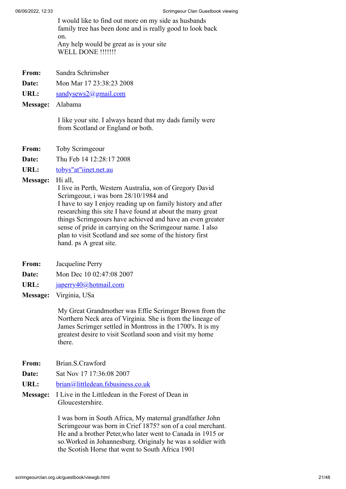I would like to find out more on my side as husbands family tree has been done and is really good to look back on. Any help would be great as is your site WELL DONE !!!!!!!

**From:** Sandra Schrimsher

**Date:** Mon Mar 17 23:38:23 2008

URL: [sandysews2@gmail.com](https://web.archive.org/web/20131218204208if_/http://www.users.freenetname.co.uk/cgi-bin/guestbook/sandysews2@gmail.com)

**Message:** Alabama

I like your site. I always heard that my dads family were from Scotland or England or both.

**From:** Toby Scrimgeour

**Date:** Thu Feb 14 12:28:17 2008

**URL:** [tobys"at"iinet.net.au](https://web.archive.org/web/20131218204208if_/http://www.users.freenetname.co.uk/cgi-bin/guestbook/tobys)

**Message:** Hi all,

I live in Perth, Western Australia, son of Gregory David Scrimgeour, i was born 28/10/1984 and I have to say I enjoy reading up on family history and after researching this site I have found at about the many great things Scrimgeours have achieved and have an even greater sense of pride in carrying on the Scrimgeour name. I also plan to visit Scotland and see some of the history first hand. ps A great site.

- **From:** Jacqueline Perry
- **Date:** Mon Dec 10 02:47:08 2007
- URL: [japerry40@hotmail.com](https://web.archive.org/web/20131218204208if_/http://www.users.freenetname.co.uk/cgi-bin/guestbook/japerry40@hotmail.com)
- **Message:** Virginia, USa

My Great Grandmother was Effie Scrimger Brown from the Northern Neck area of Virginia. She is from the lineage of James Scrimger settled in Montross in the 1700's. It is my greatest desire to visit Scotland soon and visit my home there.

- **From:** Brian.S.Crawford
- **Date:** Sat Nov 17 17:36:08 2007
- **URL:** [brian@littledean.fsbusiness.co.uk](https://web.archive.org/web/20131218204208if_/http://www.users.freenetname.co.uk/cgi-bin/guestbook/brian@littledean.fsbusiness.co.uk)
- **Message:** I Live in the Littledean in the Forest of Dean in Gloucestershire.

I was born in South Africa, My maternal grandfather John Scrimgeour was born in Crief 1875? son of a coal merchant. He and a brother Peter,who later went to Canada in 1915 or so.Worked in Johannesburg. Originaly he was a soldier with the Scotish Horse that went to South Africa 1901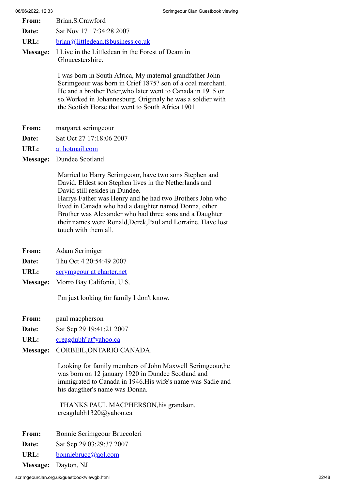- **From:** Brian.S.Crawford
- **Date:** Sat Nov 17 17:34:28 2007
- **URL:** [brian@littledean.fsbusiness.co.uk](https://web.archive.org/web/20131218204208if_/http://www.users.freenetname.co.uk/cgi-bin/guestbook/brian@littledean.fsbusiness.co.uk)
- **Message:** I Live in the Littledean in the Forest of Deam in Gloucestershire.

I was born in South Africa, My maternal grandfather John Scrimgeour was born in Crief 1875? son of a coal merchant. He and a brother Peter,who later went to Canada in 1915 or so.Worked in Johannesburg. Originaly he was a soldier with the Scotish Horse that went to South Africa 1901

- **From:** margaret scrimgeour
- **Date:** Sat Oct 27 17:18:06 2007
- **URL:** [at hotmail.com](https://web.archive.org/web/20131218204208if_/http://www.users.freenetname.co.uk/cgi-bin/guestbook/at%20hotmail.com)
- **Message:** Dundee Scotland

Married to Harry Scrimgeour, have two sons Stephen and David. Eldest son Stephen lives in the Netherlands and David still resides in Dundee. Harrys Father was Henry and he had two Brothers John who lived in Canada who had a daughter named Donna, other Brother was Alexander who had three sons and a Daughter their names were Ronald,Derek,Paul and Lorraine. Have lost touch with them all.

- **From:** Adam Scrimiger
- **Date:** Thu Oct 4 20:54:49 2007
- **URL:** [scrymgeour at charter.net](https://web.archive.org/web/20131218204208if_/http://www.users.freenetname.co.uk/cgi-bin/guestbook/scrymgeour%20at%20charter.net)
- **Message:** Morro Bay Califonia, U.S.

I'm just looking for family I don't know.

- **From:** paul macpherson
- **Date:** Sat Sep 29 19:41:21 2007
- URL: creagdubh"at"yahoo.ca
- **Message:** CORBEIL,ONTARIO CANADA.

Looking for family members of John Maxwell Scrimgeour,he was born on 12 january 1920 in Dundee Scotland and immigrated to Canada in 1946.His wife's name was Sadie and his daugther's name was Donna.

THANKS PAUL MACPHERSON,his grandson. creagdubh1320@yahoo.ca

- **From:** Bonnie Scrimgeour Bruccoleri
- **Date:** Sat Sep 29 03:29:37 2007
- **URL:** [bonniebrucc@aol.com](https://web.archive.org/web/20131218204208if_/http://www.users.freenetname.co.uk/cgi-bin/guestbook/bonniebrucc@aol.com)

**Message:** Dayton, NJ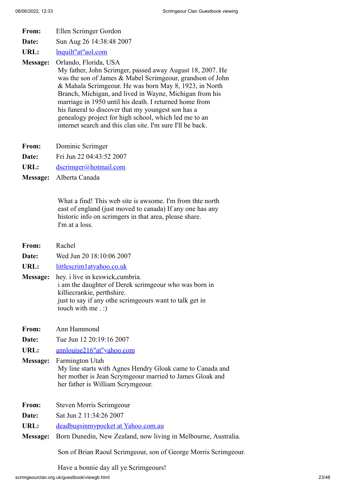- **From:** Ellen Scrimger Gordon
- **Date:** Sun Aug 26 14:38:48 2007
- URL: [lnquilt"at"aol.com](https://web.archive.org/web/20131218204208if_/http://www.users.freenetname.co.uk/cgi-bin/guestbook/lnquilt)

**Message:** Orlando, Florida, USA

My father, John Scrimger, passed away August 18, 2007. He was the son of James & Mabel Scrimgeour, grandson of John & Mahala Scrimgeour. He was born May 8, 1923, in North Branch, Michigan, and lived in Wayne, Michigan from his marriage in 1950 until his death. I returned home from his funeral to discover that my youngest son has a genealogy project for high school, which led me to an internet search and this clan site. I'm sure I'll be back.

- **From:** Dominic Scrimger
- **Date:** Fri Jun 22 04:43:52 2007
- URL: [dscrimger@hotmail.com](https://web.archive.org/web/20131218204208if_/http://www.users.freenetname.co.uk/cgi-bin/guestbook/dscrimger@hotmail.com)
- **Message:** Alberta Canada

What a find! This web site is awsome. I'm from thte north east of england (just moved to canada) If any one has any historic info on scrimgers in that area, please share. I'm at a loss.

- **From:** Rachel
- **Date:** Wed Jun 20 18:10:06 2007
- **URL:** [littlescrim1atyahoo.co.uk](https://web.archive.org/web/20131218204208if_/http://www.users.freenetname.co.uk/cgi-bin/guestbook/littlescrim1atyahoo.co.uk)
- **Message:** hey. i live in keswick,cumbria. i am the daughter of Derek scrimgeour who was born in killiecrankie, perthshire. just to say if any othe scrimgeours want to talk get in touch with me . :)
- **From:** Ann Hammond
- **Date:** Tue Jun 12 20:19:16 2007

**URL:** [annlouise216"at"yahoo.com](https://web.archive.org/web/20131218204208if_/http://www.users.freenetname.co.uk/cgi-bin/guestbook/annlouise216)

**Message:** Farmington Utah My line starts with Agnes Hendry Gloak came to Canada and her mother is Jean Scrymgeour married to James Gloak and her father is William Scrymgeour.

- **From:** Steven Morris Scrimgeour
- **Date:** Sat Jun 2 11:34:26 2007
- **URL:** [deadbugsinmypocket at Yahoo.com.au](https://web.archive.org/web/20131218204208if_/http://www.users.freenetname.co.uk/cgi-bin/guestbook/deadbugsinmypocket%20at%20Yahoo.com.au)
- **Message:** Born Dunedin, New Zealand, now living in Melbourne, Australia.

Son of Brian Raoul Scrimgeour, son of George Morris Scrimgeour.

Have a bonnie day all ye Scrimgeours!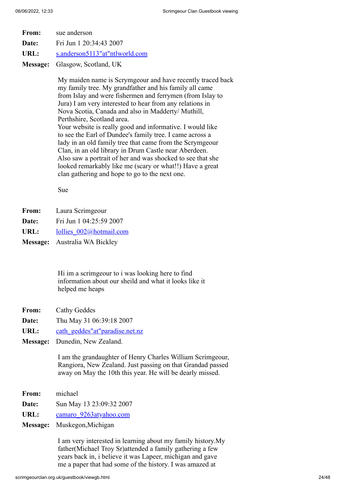- **From:** sue anderson
- **Date:** Fri Jun 1 20:34:43 2007
- URL: [s.anderson5113"at"ntlworld.com](https://web.archive.org/web/20131218204208if_/http://www.users.freenetname.co.uk/cgi-bin/guestbook/s.anderson5113)
- **Message:** Glasgow, Scotland, UK

My maiden name is Scrymgeour and have recently traced back my family tree. My grandfather and his family all came from Islay and were fishermen and ferrymen (from Islay to Jura) I am very interested to hear from any relations in Nova Scotia, Canada and also in Madderty/ Muthill, Perthshire, Scotland area. Your website is really good and informative. I would like to see the Earl of Dundee's family tree. I came across a lady in an old family tree that came from the Scrymgeour Clan, in an old library in Drum Castle near Aberdeen. Also saw a portrait of her and was shocked to see that she looked remarkably like me (scary or what!!) Have a great clan gathering and hope to go to the next one.

Sue

- **From:** Laura Scrimgeour
- **Date:** Fri Jun 1 04:25:59 2007
- URL: lollies  $002@$ hotmail.com
- **Message:** Australia WA Bickley

Hi im a scrimgeour to i was looking here to find information about our sheild and what it looks like it helped me heaps

- **From:** Cathy Geddes
- **Date:** Thu May 31 06:39:18 2007
- URL: [cath\\_geddes"at"paradise.net.nz](https://web.archive.org/web/20131218204208if_/http://www.users.freenetname.co.uk/cgi-bin/guestbook/cath_geddes)
- **Message:** Dunedin, New Zealand.

I am the grandaughter of Henry Charles William Scrimgeour, Rangiora, New Zealand. Just passing on that Grandad passed away on May the 10th this year. He will be dearly missed.

- **From:** michael
- **Date:** Sun May 13 23:09:32 2007
- URL: camaro 9263atyahoo.com
- **Message:** Muskegon,Michigan

I am very interested in learning about my family history.My father(Michael Troy Sr)attended a family gathering a few years back in, i believe it was Lapeer, michigan and gave me a paper that had some of the history. I was amazed at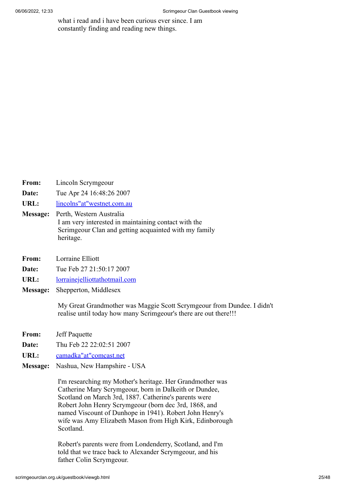what i read and i have been curious ever since. I am constantly finding and reading new things.

- **From:** Lincoln Scrymgeour
- **Date:** Tue Apr 24 16:48:26 2007
- **URL:** [lincolns"at"westnet.com.au](https://web.archive.org/web/20131218204208if_/http://www.users.freenetname.co.uk/cgi-bin/guestbook/lincolns)
- **Message:** Perth, Western Australia I am very interested in maintaining contact with the Scrimgeour Clan and getting acquainted with my family heritage.
- **From:** Lorraine Elliott
- **Date:** Tue Feb 27 21:50:17 2007
- **URL:** [lorrainejelliottathotmail.com](https://web.archive.org/web/20131218204208if_/http://www.users.freenetname.co.uk/cgi-bin/guestbook/lorrainejelliottathotmail.com)
- **Message:** Shepperton, Middlesex

My Great Grandmother was Maggie Scott Scrymgeour from Dundee. I didn't realise until today how many Scrimgeour's there are out there!!!

- **From:** Jeff Paquette
- **Date:** Thu Feb 22 22:02:51 2007
- **URL:** [camadka"at"comcast.net](https://web.archive.org/web/20131218204208if_/http://www.users.freenetname.co.uk/cgi-bin/guestbook/camadka)
- **Message:** Nashua, New Hampshire USA

I'm researching my Mother's heritage. Her Grandmother was Catherine Mary Scrymgeour, born in Dalkeith or Dundee, Scotland on March 3rd, 1887. Catherine's parents were Robert John Henry Scrymgeour (born dec 3rd, 1868, and named Viscount of Dunhope in 1941). Robert John Henry's wife was Amy Elizabeth Mason from High Kirk, Edinborough Scotland.

Robert's parents were from Londenderry, Scotland, and I'm told that we trace back to Alexander Scrymgeour, and his father Colin Scrymgeour.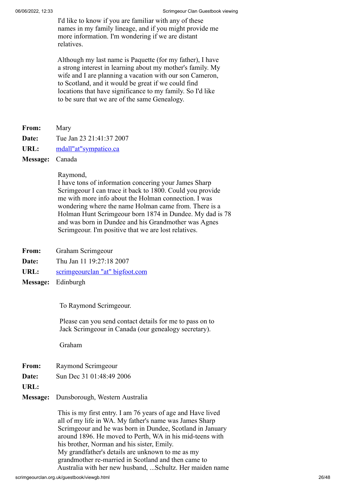I'd like to know if you are familiar with any of these names in my family lineage, and if you might provide me more information. I'm wondering if we are distant relatives.

Although my last name is Paquette (for my father), I have a strong interest in learning about my mother's family. My wife and I are planning a vacation with our son Cameron, to Scotland, and it would be great if we could find locations that have significance to my family. So I'd like to be sure that we are of the same Genealogy.

**From:** Mary

**Date:** Tue Jan 23 21:41:37 2007

URL: [mdall"at"sympatico.ca](https://web.archive.org/web/20131218204208if_/http://www.users.freenetname.co.uk/cgi-bin/guestbook/mdall)

**Message:** Canada

Raymond,

I have tons of information concering your James Sharp Scrimgeour I can trace it back to 1800. Could you provide me with more info about the Holman connection. I was wondering where the name Holman came from. There is a Holman Hunt Scrimgeour born 1874 in Dundee. My dad is 78 and was born in Dundee and his Grandmother was Agnes Scrimgeour. I'm positive that we are lost relatives.

- **From:** Graham Scrimgeour
- **Date:** Thu Jan 11 19:27:18 2007
- **URL:** [scrimgeourclan "at" bigfoot.com](https://web.archive.org/web/20131218204208if_/http://www.users.freenetname.co.uk/cgi-bin/guestbook/scrimgeourclan)
- **Message:** Edinburgh

To Raymond Scrimgeour.

 Please can you send contact details for me to pass on to Jack Scrimgeour in Canada (our genealogy secretary).

Graham

- **From:** Raymond Scrimgeour
- **Date:** Sun Dec 31 01:48:49 2006
- **URL:**

**Message:** Dunsborough, Western Australia

This is my first entry. I am 76 years of age and Have lived all of my life in WA. My father's name was James Sharp Scrimgeour and he was born in Dundee, Scotland in January around 1896. He moved to Perth, WA in his mid-teens with his brother, Norman and his sister, Emily. My grandfather's details are unknown to me as my grandmother re-married in Scotland and then came to Australia with her new husband, ...Schultz. Her maiden name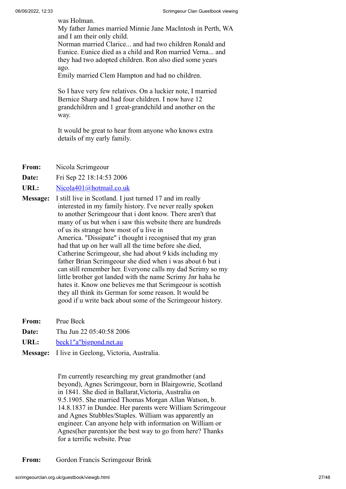was Holman.

My father James married Minnie Jane MacIntosh in Perth, WA and I am their only child.

Norman married Clarice... and had two children Ronald and Eunice. Eunice died as a child and Ron married Verna... and they had two adopted children. Ron also died some years ago.

Emily married Clem Hampton and had no children.

So I have very few relatives. On a luckier note, I married Bernice Sharp and had four children. I now have 12 grandchildren and 1 great-grandchild and another on the way.

It would be great to hear from anyone who knows extra details of my early family.

**From:** Nicola Scrimgeour

**Date:** Fri Sep 22 18:14:53 2006

**URL:** [Nicola401@hotmail.co.uk](https://web.archive.org/web/20131218204208if_/http://www.users.freenetname.co.uk/cgi-bin/guestbook/Nicola401@hotmail.co.uk)

- **Message:** I still live in Scotland. I just turned 17 and im really interested in my family history. I've never really spoken to another Scrimgeour that i dont know. There aren't that many of us but when i saw this website there are hundreds of us its strange how most of u live in America. "Dissipate" i thought i recognised that my gran had that up on her wall all the time before she died, Catherine Scrimgeour, she had about 9 kids including my father Brian Scrimgeour she died when i was about 6 but i can still remember her. Everyone calls my dad Scrimy so my little brother got landed with the name Scrimy Jnr haha he hates it. Know one believes me that Scrimgeour is scottish they all think its German for some reason. It would be good if u write back about some of the Scrimgeour history.
- **From:** Prue Beck
- **Date:** Thu Jun 22 05:40:58 2006
- **URL:** [beck1"a"bigpond.net.au](https://web.archive.org/web/20131218204208if_/http://www.users.freenetname.co.uk/cgi-bin/guestbook/beck1)
- **Message:** I live in Geelong, Victoria, Australia.

I'm currently researching my great grandmother (and beyond), Agnes Scrimgeour, born in Blairgowrie, Scotland in 1841. She died in Ballarat,Victoria, Australia on 9.5.1905. She married Thomas Morgan Allan Watson, b. 14.8.1837 in Dundee. Her parents were William Scrimgeour and Agnes Stubbles/Staples. William was apparently an engineer. Can anyone help with information on William or Agnes(her parents)or the best way to go from here? Thanks for a terrific website. Prue

**From:** Gordon Francis Scrimgeour Brink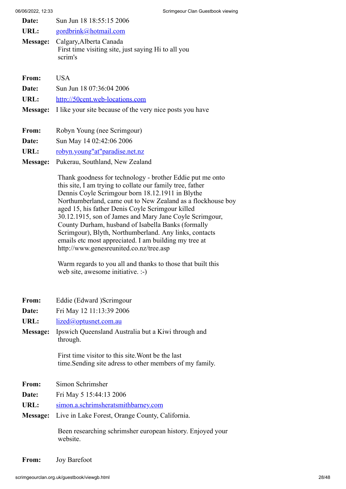| Date:                                                                                                 | Sun Jun 18 18:55:15 2006 |
|-------------------------------------------------------------------------------------------------------|--------------------------|
| URL:                                                                                                  | gordbrink@hotmail.com    |
| Calgary, Alberta Canada<br>Message:<br>First time visiting site, just saying Hi to all you<br>scrim's |                          |
| From:                                                                                                 | USA.                     |
| Date:                                                                                                 | Sun Jun 18 07:36:04 2006 |

- **URL:** [http://50cent.web-locations.com](https://web.archive.org/web/20131218204208/http://50cent.web-locations.com/)
- **Message:** I like your site because of the very nice posts you have
- From: Robyn Young (nee Scrimgour)
- **Date:** Sun May 14 02:42:06 2006
- **URL:** [robyn.young"at"paradise.net.nz](https://web.archive.org/web/20131218204208if_/http://www.users.freenetname.co.uk/cgi-bin/guestbook/robyn.young)
- **Message:** Pukerau, Southland, New Zealand

Thank goodness for technology - brother Eddie put me onto this site, I am trying to collate our family tree, father Dennis Coyle Scrimgour born 18.12.1911 in Blythe Northumberland, came out to New Zealand as a flockhouse boy aged 15, his father Denis Coyle Scrimgour killed 30.12.1915, son of James and Mary Jane Coyle Scrimgour, County Durham, husband of Isabella Banks (formally Scrimgour), Blyth, Northumberland. Any links, contacts emails etc most appreciated. I am building my tree at http://www.genesreunited.co.nz/tree.asp

Warm regards to you all and thanks to those that built this web site, awesome initiative. :-)

- **From:** Eddie (Edward )Scrimgour
- **Date:** Fri May 12 11:13:39 2006
- **URL:** [lized@optusnet.com.au](https://web.archive.org/web/20131218204208if_/http://www.users.freenetname.co.uk/cgi-bin/guestbook/lized@optusnet.com.au)
- **Message:** Ipswich Queensland Australia but a Kiwi through and through.

First time visitor to this site.Wont be the last time.Sending site adress to other members of my family.

- **From:** Simon Schrimsher
- **Date:** Fri May 5 15:44:13 2006
- **URL:** [simon.a.schrimsheratsmithbarney.com](https://web.archive.org/web/20131218204208if_/http://www.users.freenetname.co.uk/cgi-bin/guestbook/simon.a.schrimsheratsmithbarney.com)
- **Message:** Live in Lake Forest, Orange County, California.

Been researching schrimsher european history. Enjoyed your website.

**From:** Joy Barefoot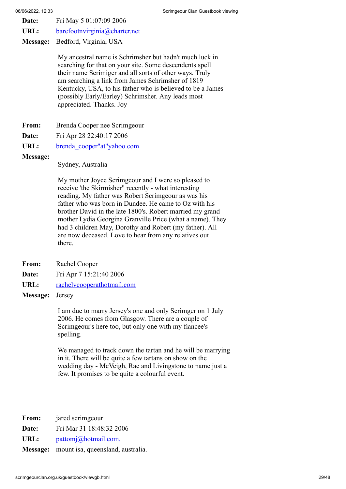- **Date:** Fri May 5 01:07:09 2006
- URL: [barefootnvirginia@charter.net](https://web.archive.org/web/20131218204208if_/http://www.users.freenetname.co.uk/cgi-bin/guestbook/barefootnvirginia@charter.net)
- **Message:** Bedford, Virginia, USA

My ancestral name is Schrimsher but hadn't much luck in searching for that on your site. Some descendents spell their name Scrimiger and all sorts of other ways. Truly am searching a link from James Schrimsher of 1819 Kentucky, USA, to his father who is believed to be a James (possibly Early/Earley) Schrimsher. Any leads most appreciated. Thanks. Joy

- From: Brenda Cooper nee Scrimgeour
- **Date:** Fri Apr 28 22:40:17 2006
- **URL:** [brenda\\_cooper"at"yahoo.com](https://web.archive.org/web/20131218204208if_/http://www.users.freenetname.co.uk/cgi-bin/guestbook/brenda_cooper)
- **Message:**

Sydney, Australia

My mother Joyce Scrimgeour and I were so pleased to receive 'the Skirmisher" recently - what interesting reading. My father was Robert Scrimgeour as was his father who was born in Dundee. He came to Oz with his brother David in the late 1800's. Robert married my grand mother Lydia Georgina Granville Price (what a name). They had 3 children May, Dorothy and Robert (my father). All are now deceased. Love to hear from any relatives out there.

- **From:** Rachel Cooper
- **Date:** Fri Apr 7 15:21:40 2006
- **URL:** [rachelvcooperathotmail.com](https://web.archive.org/web/20131218204208if_/http://www.users.freenetname.co.uk/cgi-bin/guestbook/rachelvcooperathotmail.com)
- **Message:** Jersey

I am due to marry Jersey's one and only Scrimger on 1 July 2006. He comes from Glasgow. There are a couple of Scrimgeour's here too, but only one with my fiancee's spelling.

We managed to track down the tartan and he will be marrying in it. There will be quite a few tartans on show on the wedding day - McVeigh, Rae and Livingstone to name just a few. It promises to be quite a colourful event.

From: **jared** scrimgeour

**Date:** Fri Mar 31 18:48:32 2006

URL: [pattomj@hotmail.com.](https://web.archive.org/web/20131218204208if_/http://www.users.freenetname.co.uk/cgi-bin/guestbook/pattomj@hotmail.com.)

**Message:** mount isa, queensland, australia.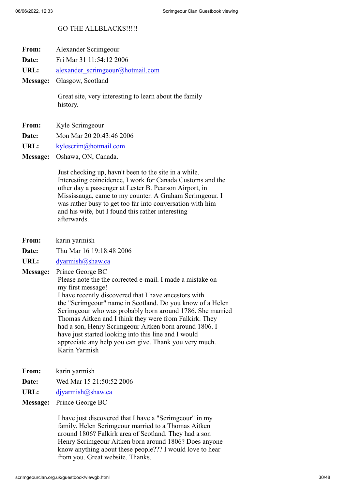## GO THE ALLBLACKS!!!!!

- **From:** Alexander Scrimgeour
- **Date:** Fri Mar 31 11:54:12 2006
- URL: alexander scrimgeour@hotmail.com
- **Message:** Glasgow, Scotland

Great site, very interesting to learn about the family history.

- **From:** Kyle Scrimgeour
- **Date:** Mon Mar 20 20:43:46 2006
- **URL:** [kylescrim@hotmail.com](https://web.archive.org/web/20131218204208if_/http://www.users.freenetname.co.uk/cgi-bin/guestbook/kylescrim@hotmail.com)

**Message:** Oshawa, ON, Canada.

Just checking up, havn't been to the site in a while. Interesting coincidence, I work for Canada Customs and the other day a passenger at Lester B. Pearson Airport, in Mississauga, came to my counter. A Graham Scrimgeour. I was rather busy to get too far into conversation with him and his wife, but I found this rather interesting afterwards.

- **From:** karin yarmish
- **Date:** Thu Mar 16 19:18:48 2006
- URL: [dyarmish@shaw.ca](https://web.archive.org/web/20131218204208if_/http://www.users.freenetname.co.uk/cgi-bin/guestbook/dyarmish@shaw.ca)

**Message:** Prince George BC

Please note the the corrected e-mail. I made a mistake on my first message!

I have recently discovered that I have ancestors with the "Scrimgeour" name in Scotland. Do you know of a Helen Scrimgeour who was probably born around 1786. She married Thomas Aitken and I think they were from Falkirk. They had a son, Henry Scrimgeour Aitken born around 1806. I have just started looking into this line and I would appreciate any help you can give. Thank you very much. Karin Yarmish

- **From:** karin yarmish
- **Date:** Wed Mar 15 21:50:52 2006
- URL: divarmish@shaw.ca

### **Message:** Prince George BC

I have just discovered that I have a "Scrimgeour" in my family. Helen Scrimgeour married to a Thomas Aitken around 1806? Falkirk area of Scotland. They had a son Henry Scrimgeour Aitken born around 1806? Does anyone know anything about these people??? I would love to hear from you. Great website. Thanks.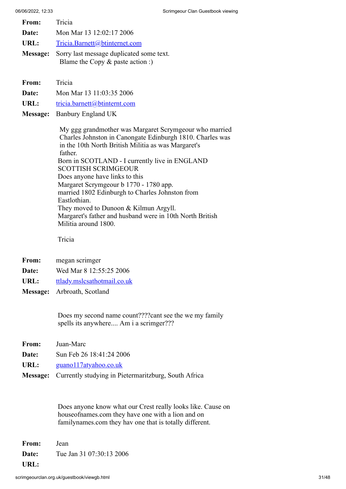| 06/06/2022, 12:33 |                                                                                                                                                                                                                                                                                                         | Scrimgeour Clan Guestbook viewing |
|-------------------|---------------------------------------------------------------------------------------------------------------------------------------------------------------------------------------------------------------------------------------------------------------------------------------------------------|-----------------------------------|
| From:             | Tricia                                                                                                                                                                                                                                                                                                  |                                   |
| Date:             | Mon Mar 13 12:02:17 2006                                                                                                                                                                                                                                                                                |                                   |
| URL:              | Tricia.Barnett@btinternet.com                                                                                                                                                                                                                                                                           |                                   |
| <b>Message:</b>   | Sorry last message duplicated some text.<br>Blame the Copy $\&$ paste action :)                                                                                                                                                                                                                         |                                   |
| From:             | Tricia                                                                                                                                                                                                                                                                                                  |                                   |
| Date:             | Mon Mar 13 11:03:35 2006                                                                                                                                                                                                                                                                                |                                   |
| URL:              | tricia.barnett@btinternt.com                                                                                                                                                                                                                                                                            |                                   |
| Message:          | Banbury England UK                                                                                                                                                                                                                                                                                      |                                   |
|                   | My ggg grandmother was Margaret Scrymgeour who married<br>Charles Johnston in Canongate Edinburgh 1810. Charles was<br>in the 10th North British Militia as was Margaret's<br>father.<br>Born in SCOTLAND - I currently live in ENGLAND<br><b>SCOTTISH SCRIMGEOUR</b><br>Does anyone have links to this |                                   |

Margaret Scrymgeour b 1770 - 1780 app. married 1802 Edinburgh to Charles Johnston from Eastlothian. They moved to Dunoon & Kilmun Argyll.

Margaret's father and husband were in 10th North British Militia around 1800.

Tricia

- **From:** megan scrimger
- **Date:** Wed Mar 8 12:55:25 2006
- URL: [ttlady.mslcsathotmail.co.uk](https://web.archive.org/web/20131218204208if_/http://www.users.freenetname.co.uk/cgi-bin/guestbook/ttlady.mslcsathotmail.co.uk)
- **Message:** Arbroath, Scotland

Does my second name count????cant see the we my family spells its anywhere.... Am i a scrimger???

- **From:** Juan-Marc
- **Date:** Sun Feb 26 18:41:24 2006
- URL: [guano117atyahoo.co.uk](https://web.archive.org/web/20131218204208if_/http://www.users.freenetname.co.uk/cgi-bin/guestbook/guano117atyahoo.co.uk)
- **Message:** Currently studying in Pietermaritzburg, South Africa

Does anyone know what our Crest really looks like. Cause on houseofnames.com they have one with a lion and on familynames.com they hav one that is totally different.

**From:** Jean **Date:** Tue Jan 31 07:30:13 2006 **URL:**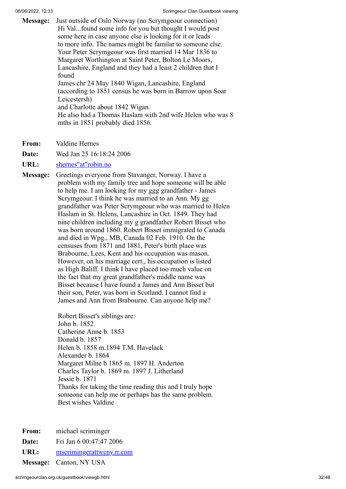**Message:** Just outside of Oslo Norway (no Scrymgeour connection) Hi Val...found some info for you but thought I would post some here in case anyone else is looking for it or leads to more info. The names might be familar to someone else. Your Peter Scrymgeour was first married 14 Mar 1836 to Margaret Worthington at Saint Peter, Bolton Le Moors, Lancashire, England and they had a least 2 children that I found James chr 24 May 1840 Wigan, Lancashire, England (according to 1851 census he was born in Barrow upon Soar Leicestersh) and Charlotte about 1842 Wigan. He also had a Thomas Haslam with 2nd wife Helen who was 8 mths in 1851 probably died 1856.

**From:** Valdine Hernes

**Date:** Wed Jan 25 16:18:24 2006

**URL:** [shernes"at"robin.no](https://web.archive.org/web/20131218204208if_/http://www.users.freenetname.co.uk/cgi-bin/guestbook/shernes)

**Message:** Greetings everyone from Stavanger, Norway. I have a problem with my family tree and hope someone will be able to help me. I am looking for my ggg grandfather - James Scrymgeour. I think he was married to an Ann. My gg grandfather was Peter Scrymgeour who was married to Helen Haslam in St. Helens, Lancashire in Oct. 1849. They had nine children including my g grandfather Robert Bisset who was born around 1860. Robert Bisset immigrated to Canada and died in Wpg., MB, Canada 02 Feb. 1910. On the censuses from 1871 and 1881, Peter's birth place was Brabourne, Lees, Kent and his occupation was mason. However, on his marriage cert., his occupation is listed as High Baliff. I think I have placed too much value on the fact that my great grandfather's middle name was Bisset because I have found a James and Ann Bisset but their son, Peter, was born in Scotland. I cannot find a James and Ann from Brabourne. Can anyone help me?

> Robert Bisset's siblings are: John b. 1852 Catherine Anne b. 1853 Donald b. 1857 Helen b. 1858 m.1894 T.M. Havelack Alexander b. 1864 Margaret Milne b 1865 m. 1897 H. Anderton Charles Taylor b. 1869 m. 1897 J. Litherland Jessie b. 1871 Thanks for taking the time reading this and I truly hope someone can help me or perhaps has the same problem. Best wishes Valdine

**From:** michael scriminger

**Date:** Fri Jan 6 00:47:47 2006

URL: [mscrimingerattwcny.rr.com](https://web.archive.org/web/20131218204208if_/http://www.users.freenetname.co.uk/cgi-bin/guestbook/mscrimingerattwcny.rr.com)

**Message:** Canton, NY USA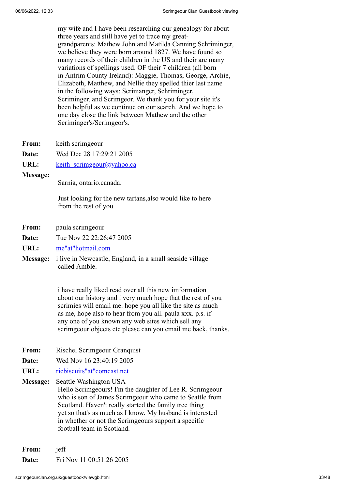my wife and I have been researching our genealogy for about three years and still have yet to trace my greatgrandparents: Mathew John and Matilda Canning Schriminger, we believe they were born around 1827. We have found so many records of their children in the US and their are many variations of spellings used. OF their 7 children (all born in Antrim County Ireland): Maggie, Thomas, George, Archie, Elizabeth, Matthew, and Nellie they spelled thier last name in the following ways: Scrimanger, Schriminger, Scriminger, and Scrimgeor. We thank you for your site it's been helpful as we continue on our search. And we hope to one day close the link between Mathew and the other Scriminger's/Scrimgeor's.

- **From:** keith scrimgeour
- **Date:** Wed Dec 28 17:29:21 2005
- **URL:** keith scrimgeour@yahoo.ca
- **Message:**

Sarnia, ontario.canada.

Just looking for the new tartans,also would like to here from the rest of you.

- **From:** paula scrimgeour
- **Date:** Tue Nov 22 22:26:47 2005
- **URL:** [me"at"hotmail.com](https://web.archive.org/web/20131218204208if_/http://www.users.freenetname.co.uk/cgi-bin/guestbook/me)
- **Message:** i live in Newcastle, England, in a small seaside village called Amble.

i have really liked read over all this new imformation about our history and i very much hope that the rest of you scrimies will email me. hope you all like the site as much as me, hope also to hear from you all. paula xxx. p.s. if any one of you known any web sites which sell any scrimgeour objects etc please can you email me back, thanks.

- **From:** Rischel Scrimgeour Granquist
- **Date:** Wed Nov 16 23:40:19 2005
- **URL:** [ricbiscuits"at"comcast.net](https://web.archive.org/web/20131218204208if_/http://www.users.freenetname.co.uk/cgi-bin/guestbook/ricbiscuits)
- **Message:** Seattle Washington USA

Hello Scrimgeours! I'm the daughter of Lee R. Scrimgeour who is son of James Scrimgeour who came to Seattle from Scotland. Haven't really started the family tree thing yet so that's as much as I know. My husband is interested in whether or not the Scrimgeours support a specific football team in Scotland.

**From:** jeff **Date:** Fri Nov 11 00:51:26 2005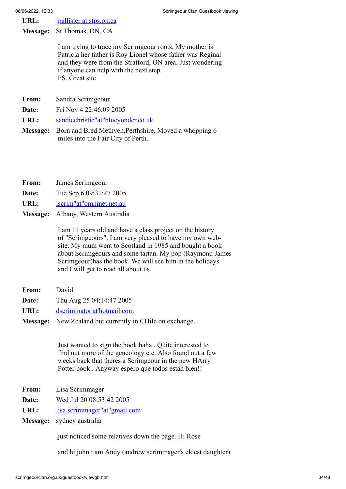URL: **[jpallister at stps.on.ca](https://web.archive.org/web/20131218204208if_/http://www.users.freenetname.co.uk/cgi-bin/guestbook/jpallister%20at%20stps.on.ca)** 

**Message:** St Thomas, ON, CA

I am trying to trace my Scrimgeour roots. My mother is Patricia her father is Roy Lionel whose father was Reginal and they were from the Stratford, ON area. Just wondering if anyone can help with the next step. PS. Great site

- **From:** Sandra Scrimgeour
- **Date:** Fri Nov 4 22:46:09 2005
- **URL:** [sandiechristie"at"blueyonder.co.uk](https://web.archive.org/web/20131218204208if_/http://www.users.freenetname.co.uk/cgi-bin/guestbook/sandiechristie)
- **Message:** Born and Bred Methven,Perthshire, Moved a whopping 6 miles into the Fair City of Perth.
- **From:** James Scrimgeour
- **Date:** Tue Sep 6 09:31:27 2005
- **URL:** [lscrim"at"omninet.net.au](https://web.archive.org/web/20131218204208if_/http://www.users.freenetname.co.uk/cgi-bin/guestbook/lscrim)
- **Message:** Albany, Western Australia

I am 11 years old and have a class project on the history of "Scrimgeours". I am very pleased to have my own website. My mum went to Scotland in 1985 and bought a book about Scrimgeours and some tartan. My pop (Raymond James Scrimgeour)has the book. We will see him in the holidays and I will get to read all about us.

- **From:** David
- **Date:** Thu Aug 25 04:14:47 2005
- **URL:** [dscriminator'at'hotmail.com](https://web.archive.org/web/20131218204208if_/http://www.users.freenetname.co.uk/cgi-bin/guestbook/dscriminator)
- **Message:** New Zealand but currently in CHile on exchange..

Just wanted to sign the book haha.. Quite interested to find out more of the geneology etc. Also found out a few weeks back that theres a Scrimgeour in the new HArry Potter book.. Anyway espero que todos estan bien!!

- **From:** Lisa Scrimmager
- **Date:** Wed Jul 20 08:53:42 2005
- **URL:** [lisa.scrimmager"at"gmail.com](https://web.archive.org/web/20131218204208if_/http://www.users.freenetname.co.uk/cgi-bin/guestbook/lisa.scrimmager)
- **Message:** sydney australia

just noticed some relatives down the page. Hi Rose

and hi john i am Andy (andrew scrimmager's eldest daughter)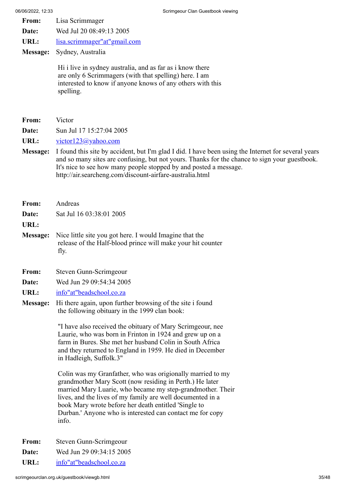- **From:** Lisa Scrimmager
- **Date:** Wed Jul 20 08:49:13 2005
- **URL:** [lisa.scrimmager"at"gmail.com](https://web.archive.org/web/20131218204208if_/http://www.users.freenetname.co.uk/cgi-bin/guestbook/lisa.scrimmager)
- **Message:** Sydney, Australia

Hi i live in sydney australia, and as far as i know there are only 6 Scrimmagers (with that spelling) here. I am interested to know if anyone knows of any others with this spelling.

- **Date:** Sun Jul 17 15:27:04 2005
- URL: [victor123@yahoo.com](https://web.archive.org/web/20131218204208if_/http://www.users.freenetname.co.uk/cgi-bin/guestbook/victor123@yahoo.com)
- **Message:** I found this site by accident, but I'm glad I did. I have been using the Internet for several years and so many sites are confusing, but not yours. Thanks for the chance to sign your guestbook. It's nice to see how many people stopped by and posted a message. http://air.searcheng.com/discount-airfare-australia.html

| From:        | Andreas                                                                                                                                        |
|--------------|------------------------------------------------------------------------------------------------------------------------------------------------|
| <b>Date:</b> | Sat Jul 16 03:38:01 2005                                                                                                                       |
| URL:         |                                                                                                                                                |
|              | <b>Message:</b> Nice little site you got here. I would Imagine that the<br>release of the Half-blood prince will make your hit counter<br>fly. |

- **From:** Steven Gunn-Scrimgeour
- **Date:** Wed Jun 29 09:54:34 2005
- **URL:** [info"at"beadschool.co.za](https://web.archive.org/web/20131218204208if_/http://www.users.freenetname.co.uk/cgi-bin/guestbook/info)
- **Message:** Hi there again, upon further browsing of the site i found the following obituary in the 1999 clan book:

"I have also received the obituary of Mary Scrimgeour, nee Laurie, who was born in Frinton in 1924 and grew up on a farm in Bures. She met her husband Colin in South Africa and they returned to England in 1959. He died in December in Hadleigh, Suffolk.3"

Colin was my Granfather, who was origionally married to my grandmother Mary Scott (now residing in Perth.) He later married Mary Luarie, who became my step-grandmother. Their lives, and the lives of my family are well documented in a book Mary wrote before her death entitled 'Single to Durban.' Anyone who is interested can contact me for copy info.

- **From:** Steven Gunn-Scrimgeour
- **Date:** Wed Jun 29 09:34:15 2005
- **URL:** [info"at"beadschool.co.za](https://web.archive.org/web/20131218204208if_/http://www.users.freenetname.co.uk/cgi-bin/guestbook/info)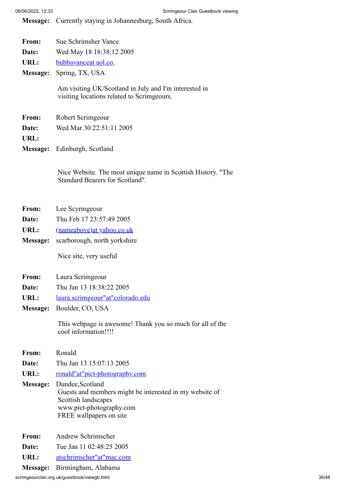**Message:** Currently staying in Johannesburg, South Africa.

| From:    | Sue Schrimsher Vance                                                                                |  |
|----------|-----------------------------------------------------------------------------------------------------|--|
| Date:    | Wed May 18 18:38:12 2005                                                                            |  |
| URL:     | bubbavanceat aol.co,                                                                                |  |
| Message: | Spring, TX, USA                                                                                     |  |
|          | Am visiting UK/Scotland in July and I'm interested in<br>visiting locations related to Scrimgeours. |  |
| From:    | Robert Scrimgeour                                                                                   |  |
| Date:    | Wed Mar 30 22:51:11 2005                                                                            |  |
| URL:     |                                                                                                     |  |
|          | Message: Edinburgh, Scotland                                                                        |  |

Nice Website. The most unique name in Scottish History. "The Standard Bearers for Scotland".

- **From:** Lee Scyrmgeour
- **Date:** Thu Feb 17 23:57:49 2005
- **URL:** [\(nameabove\)at yahoo.co.uk](https://web.archive.org/web/20131218204208if_/http://www.users.freenetname.co.uk/cgi-bin/guestbook/(nameabove)at%20yahoo.co.uk)
- **Message:** scarborough, north yorkshire

Nice site, very useful

- **From:** Laura Scrimgeour
- **Date:** Thu Jan 13 18:38:22 2005
- **URL:** [laura.scrimgeour"at"colorado.edu](https://web.archive.org/web/20131218204208if_/http://www.users.freenetname.co.uk/cgi-bin/guestbook/laura.scrimgeour)
- **Message:** Boulder, CO, USA

This webpage is awesome! Thank you so much for all of the cool information!!!!

- **From:** Ronald
- **Date:** Thu Jan 13 15:07:13 2005
- URL: [ronald"at"pict-photography.com](https://web.archive.org/web/20131218204208if_/http://www.users.freenetname.co.uk/cgi-bin/guestbook/ronald)
- **Message:** Dundee,Scotland Guests and members might be interested in my website of Scottish landscapes www.pict-photography.com FREE wallpapers on site
- **From:** Andrew Schrimscher
- **Date:** Tue Jan 11 02:48:25 2005
- **URL:** [atschrimscher"at"mac.com](https://web.archive.org/web/20131218204208if_/http://www.users.freenetname.co.uk/cgi-bin/guestbook/atschrimscher)
- **Message:** Birmingham, Alabama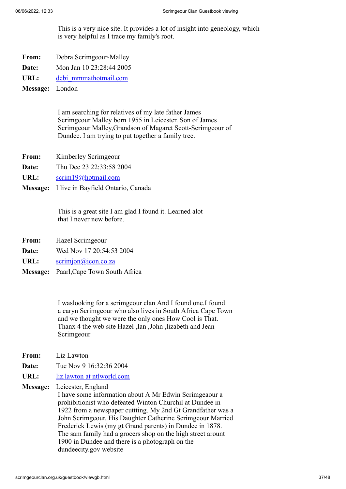This is a very nice site. It provides a lot of insight into geneology, which is very helpful as I trace my family's root.

- **From:** Debra Scrimgeour-Malley
- **Date:** Mon Jan 10 23:28:44 2005
- **URL:** [debi\\_mmmathotmail.com](https://web.archive.org/web/20131218204208if_/http://www.users.freenetname.co.uk/cgi-bin/guestbook/debi_mmmathotmail.com)

**Message:** London

I am searching for relatives of my late father James Scrimgeour Malley born 1955 in Leicester. Son of James Scrimgeour Malley,Grandson of Magaret Scott-Scrimgeour of Dundee. I am trying to put together a family tree.

- **From:** Kimberley Scrimgeour
- **Date:** Thu Dec 23 22:33:58 2004
- **URL:** [scrim19@hotmail.com](https://web.archive.org/web/20131218204208if_/http://www.users.freenetname.co.uk/cgi-bin/guestbook/scrim19@hotmail.com)
- **Message:** I live in Bayfield Ontario, Canada

This is a great site I am glad I found it. Learned alot that I never new before.

- **From:** Hazel Scrimgeour
- **Date:** Wed Nov 17 20:54:53 2004
- URL: [scrimjon@icon.co.za](https://web.archive.org/web/20131218204208if_/http://www.users.freenetname.co.uk/cgi-bin/guestbook/scrimjon@icon.co.za)
- **Message:** Paarl,Cape Town South Africa

I waslooking for a scrimgeour clan And I found one.I found a caryn Scrimgeour who also lives in South Africa Cape Town and we thought we were the only ones How Cool is That. Thanx 4 the web site Hazel ,Ian ,John ,lizabeth and Jean Scrimgeour

- **From:** Liz Lawton
- **Date:** Tue Nov 9 16:32:36 2004
- **URL:** [liz.lawton at ntlworld.com](https://web.archive.org/web/20131218204208if_/http://www.users.freenetname.co.uk/cgi-bin/guestbook/liz.lawton%20at%20ntlworld.com)
- **Message:** Leicester, England

I have some information about A Mr Edwin Scrimgeaour a prohibitionist who defeated Winton Churchil at Dundee in 1922 from a newspaper cuttting. My 2nd Gt Grandfather was a John Scrimgeour. His Daughter Catherine Scrimgeour Married Frederick Lewis (my gt Grand parents) in Dundee in 1878. The sam family had a grocers shop on the high street arount 1900 in Dundee and there is a photograph on the dundeecity.gov website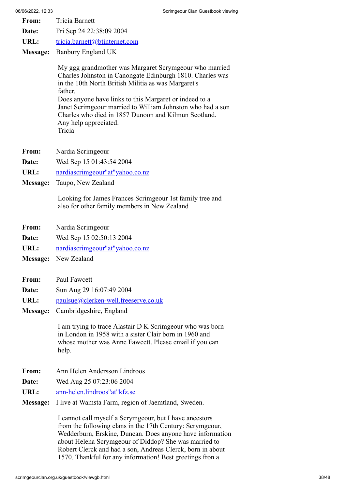- **From:** Tricia Barnett
- **Date:** Fri Sep 24 22:38:09 2004
- URL: [tricia.barnett@btinternet.com](https://web.archive.org/web/20131218204208if_/http://www.users.freenetname.co.uk/cgi-bin/guestbook/tricia.barnett@btinternet.com)
- **Message:** Banbury England UK

My ggg grandmother was Margaret Scrymgeour who married Charles Johnston in Canongate Edinburgh 1810. Charles was in the 10th North British Militia as was Margaret's father. Does anyone have links to this Margaret or indeed to a Janet Scrimgeour married to William Johnston who had a son Charles who died in 1857 Dunoon and Kilmun Scotland. Any help appreciated. Tricia

- **From:** Nardia Scrimgeour
- **Date:** Wed Sep 15 01:43:54 2004
- **URL:** [nardiascrimgeour"at"yahoo.co.nz](https://web.archive.org/web/20131218204208if_/http://www.users.freenetname.co.uk/cgi-bin/guestbook/nardiascrimgeour)
- **Message:** Taupo, New Zealand

Looking for James Frances Scrimgeour 1st family tree and also for other family members in New Zealand

- **From:** Nardia Scrimgeour
- **Date:** Wed Sep 15 02:50:13 2004
- URL: [nardiascrimgeour"at"yahoo.co.nz](https://web.archive.org/web/20131218204208if_/http://www.users.freenetname.co.uk/cgi-bin/guestbook/nardiascrimgeour)
- **Message:** New Zealand
- **From:** Paul Fawcett
- **Date:** Sun Aug 29 16:07:49 2004
- URL: [paulsue@clerken-well.freeserve.co.uk](https://web.archive.org/web/20131218204208if_/http://www.users.freenetname.co.uk/cgi-bin/guestbook/paulsue@clerken-well.freeserve.co.uk)
- **Message:** Cambridgeshire, England

I am trying to trace Alastair D K Scrimgeour who was born in London in 1958 with a sister Clair born in 1960 and whose mother was Anne Fawcett. Please email if you can help.

- **From:** Ann Helen Andersson Lindroos
- **Date:** Wed Aug 25 07:23:06 2004
- **URL:** [ann-helen.lindroos"at"kfz.se](https://web.archive.org/web/20131218204208if_/http://www.users.freenetname.co.uk/cgi-bin/guestbook/ann-helen.lindroos)
- **Message:** I live at Wamsta Farm, region of Jaemtland, Sweden.

I cannot call myself a Scrymgeour, but I have ancestors from the following clans in the 17th Century: Scrymgeour, Wedderburn, Erskine, Duncan. Does anyone have information about Helena Scrymgeour of Diddop? She was married to Robert Clerck and had a son, Andreas Clerck, born in about 1570. Thankful for any information! Best greetings fron a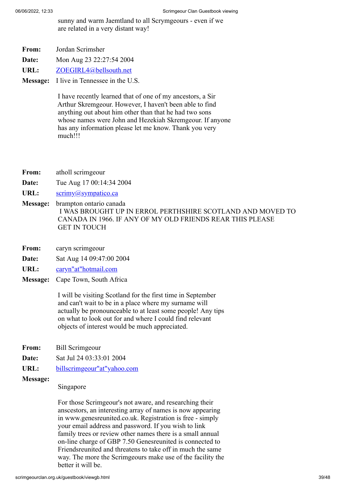sunny and warm Jaemtland to all Scrymgeours - even if we are related in a very distant way!

- **From:** Jordan Scrimsher
- **Date:** Mon Aug 23 22:27:54 2004
- **URL:** [ZOEGIRL4@bellsouth.net](https://web.archive.org/web/20131218204208if_/http://www.users.freenetname.co.uk/cgi-bin/guestbook/ZOEGIRL4@bellsouth.net)
- **Message:** I live in Tennessee in the U.S.

I have recently learned that of one of my ancestors, a Sir Arthur Skremgeour. However, I haven't been able to find anything out about him other than that he had two sons whose names were John and Hezekiah Skremgeour. If anyone has any information please let me know. Thank you very much!!!

- **From:** atholl scrimgeour
- **Date:** Tue Aug 17 00:14:34 2004
- URL: [scrimy@sympatico.ca](https://web.archive.org/web/20131218204208if_/http://www.users.freenetname.co.uk/cgi-bin/guestbook/scrimy@sympatico.ca)
- **Message:** brampton ontario canada I WAS BROUGHT UP IN ERROL PERTHSHIRE SCOTLAND AND MOVED TO CANADA IN 1966. IF ANY OF MY OLD FRIENDS REAR THIS PLEASE GET IN TOUCH
- **From:** caryn scrimgeour
- **Date:** Sat Aug 14 09:47:00 2004
- URL: [caryn"at"hotmail.com](https://web.archive.org/web/20131218204208if_/http://www.users.freenetname.co.uk/cgi-bin/guestbook/caryn)
- **Message:** Cape Town, South Africa

I will be visiting Scotland for the first time in September and can't wait to be in a place where my surname will actually be pronounceable to at least some people! Any tips on what to look out for and where I could find relevant objects of interest would be much appreciated.

- **From:** Bill Scrimgeour
- **Date:** Sat Jul 24 03:33:01 2004
- **URL:** [billscrimgeour"at"yahoo.com](https://web.archive.org/web/20131218204208if_/http://www.users.freenetname.co.uk/cgi-bin/guestbook/billscrimgeour)
- **Message:**

#### Singapore

For those Scrimgeour's not aware, and researching their anscestors, an interesting array of names is now appearing in www.genesreunited.co.uk. Registration is free - simply your email address and password. If you wish to link family trees or review other names there is a small annual on-line charge of GBP 7.50 Genesreunited is connected to Friendsreunited and threatens to take off in much the same way. The more the Scrimgeours make use of the facility the better it will be.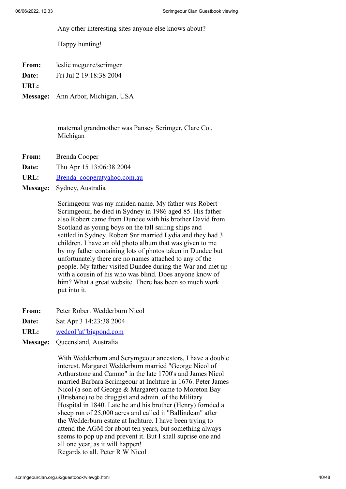Any other interesting sites anyone else knows about?

Happy hunting!

**From:** leslie mcguire/scrimger

**Date:** Fri Jul 2 19:18:38 2004

**URL:**

**Message:** Ann Arbor, Michigan, USA

maternal grandmother was Pansey Scrimger, Clare Co., Michigan

- **From:** Brenda Cooper
- **Date:** Thu Apr 15 13:06:38 2004
- URL: [Brenda\\_cooperatyahoo.com.au](https://web.archive.org/web/20131218204208if_/http://www.users.freenetname.co.uk/cgi-bin/guestbook/Brenda_cooperatyahoo.com.au)
- **Message:** Sydney, Australia

Scrimgeour was my maiden name. My father was Robert Scrimgeour, he died in Sydney in 1986 aged 85. His father also Robert came from Dundee with his brother David from Scotland as young boys on the tall sailing ships and settled in Sydney. Robert Snr married Lydia and they had 3 children. I have an old photo album that was given to me by my father containing lots of photos taken in Dundee but unfortunately there are no names attached to any of the people. My father visited Dundee during the War and met up with a cousin of his who was blind. Does anyone know of him? What a great website. There has been so much work put into it.

- **From:** Peter Robert Wedderburn Nicol
- **Date:** Sat Apr 3 14:23:38 2004
- **URL:** [wedcol"at"bigpond.com](https://web.archive.org/web/20131218204208if_/http://www.users.freenetname.co.uk/cgi-bin/guestbook/wedcol)

**Message:** Queensland, Australia.

With Wedderburn and Scrymgeour ancestors, I have a double interest. Margaret Wedderburn married "George Nicol of Arthurstone and Camno" in the late 1700's and James Nicol married Barbara Scrimgeour at Inchture in 1676. Peter James Nicol (a son of George & Margaret) came to Moreton Bay (Brisbane) to be druggist and admin. of the Military Hospital in 1840. Late he and his brother (Henry) fornded a sheep run of 25,000 acres and called it "Ballindean" after the Wedderburn estate at Inchture. I have been trying to attend the AGM for about ten years, but something always seems to pop up and prevent it. But I shall suprise one and all one year, as it will happen! Regards to all. Peter R W Nicol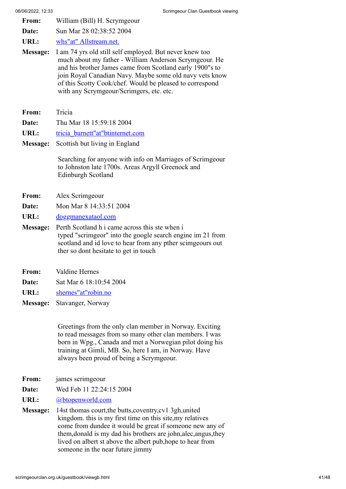- **From:** William (Bill) H. Scrymgeour
- **Date:** Sun Mar 28 02:38:52 2004
- **URL:** [whs"at" Allstream.net.](https://web.archive.org/web/20131218204208if_/http://www.users.freenetname.co.uk/cgi-bin/guestbook/whs)
- **Message:** I am 74 yrs old still self employed. But never knew too much about my father - William Anderson Scrymgeour. He and his brother James came from Scotland early 1900"s to join Royal Canadian Navy. Maybe some old navy vets know of this Scotty Cook/chef. Would be pleased to correspond with any Scrymgeour/Scrimgers, etc. etc.
- **From:** Tricia
- **Date:** Thu Mar 18 15:59:18 2004
- **URL:** [tricia\\_barnett"at"btinternet.com](https://web.archive.org/web/20131218204208if_/http://www.users.freenetname.co.uk/cgi-bin/guestbook/tricia_barnett)
- **Message:** Scottish but living in England

Searching for anyone with info on Marriages of Scrimgeour to Johnston late 1700s. Areas Argyll Greenock and Edinburgh Scotland

- **From:** Alex Scrimgeour
- **Date:** Mon Mar 8 14:33:51 2004
- **URL:** [doggmanexataol.com](https://web.archive.org/web/20131218204208if_/http://www.users.freenetname.co.uk/cgi-bin/guestbook/doggmanexataol.com)
- **Message:** Perth Scotland h i came across this ste when i typed "scrimgeor" into the google search engine im 21 from scotland and id love to hear from any pther scimgeours out ther so dont hesitate to get in touch
- **From:** Valdine Hernes
- **Date:** Sat Mar 6 18:10:54 2004
- **URL:** [shernes"at"robin.no](https://web.archive.org/web/20131218204208if_/http://www.users.freenetname.co.uk/cgi-bin/guestbook/shernes)
- **Message:** Stavanger, Norway

Greetings from the only clan member in Norway. Exciting to read messages from so many other clan members. I was born in Wpg., Canada and met a Norwegian pilot doing his training at Gimli, MB. So, here I am, in Norway. Have always been proud of being a Scrymgeour.

- **From:** james scrimgeour
- **Date:** Wed Feb 11 22:24:15 2004
- URL: [@btopenworld.com](https://web.archive.org/web/20131218204208if_/http://www.users.freenetname.co.uk/cgi-bin/guestbook/@btopenworld.com)
- **Message:** 14st thomas court,the butts,coventry,cv1 3gh,united kingdom. this is my first time on this site,my relatives come from dundee it would be great if someone new any of them,donald is my dad his brothers are john,alec,angus,they lived on albert st above the albert pub,hope to hear from someone in the near future jimmy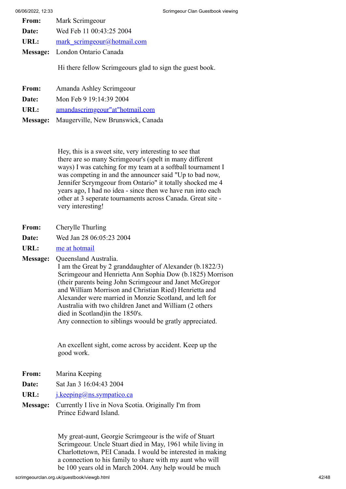| From: | Mark Scrimgeour                |
|-------|--------------------------------|
| Date: | Wed Feb 11 00:43:25 2004       |
| URL:  | mark scrimgeour@hotmail.com    |
|       | Message: London Ontario Canada |

Hi there fellow Scrimgeours glad to sign the guest book.

- **From:** Amanda Ashley Scrimgeour
- **Date:** Mon Feb 9 19:14:39 2004
- **URL:** [amandascrimgeour"at"hotmail.com](https://web.archive.org/web/20131218204208if_/http://www.users.freenetname.co.uk/cgi-bin/guestbook/amandascrimgeour)
- **Message:** Maugerville, New Brunswick, Canada

Hey, this is a sweet site, very interesting to see that there are so many Scrimgeour's (spelt in many different ways) I was catching for my team at a softball tournament I was competing in and the announcer said "Up to bad now, Jennifer Scrymgeour from Ontario" it totally shocked me 4 years ago, I had no idea - since then we have run into each other at 3 seperate tournaments across Canada. Great site very interesting!

- **From:** Cherylle Thurling
- **Date:** Wed Jan 28 06:05:23 2004
- **URL:** [me at hotmail](https://web.archive.org/web/20131218204208if_/http://www.users.freenetname.co.uk/cgi-bin/guestbook/me%20at%20hotmail)

**Message:** Queensland Australia.

I am the Great by 2 granddaughter of Alexander (b.1822/3) Scrimgeour and Henrietta Ann Sophia Dow (b.1825) Morrison (their parents being John Scrimgeour and Janet McGregor and William Morrison and Christian Ried) Henrietta and Alexander were married in Monzie Scotland, and left for Australia with two children Janet and William (2 others died in Scotland)in the 1850's. Any connection to siblings woould be gratly appreciated.

An excellent sight, come across by accident. Keep up the good work.

- **From:** Marina Keeping
- **Date:** Sat Jan 3 16:04:43 2004
- URL: [j.keeping@ns.sympatico.ca](https://web.archive.org/web/20131218204208if_/http://www.users.freenetname.co.uk/cgi-bin/guestbook/j.keeping@ns.sympatico.ca)
- **Message:** Currently I live in Nova Scotia. Originally I'm from Prince Edward Island.

My great-aunt, Georgie Scrimgeour is the wife of Stuart Scrimgeour. Uncle Stuart died in May, 1961 while living in Charlottetown, PEI Canada. I would be interested in making a connection to his family to share with my aunt who will be 100 years old in March 2004. Any help would be much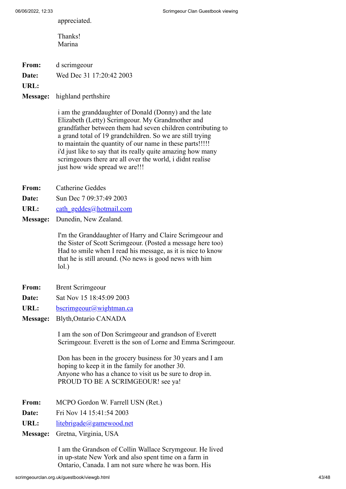appreciated.

- Thanks! Marina
- **From:** d scrimgeour

**Date:** Wed Dec 31 17:20:42 2003

**URL:**

## **Message:** highland perthshire

i am the granddaughter of Donald (Donny) and the late Elizabeth (Letty) Scrimgeour. My Grandmother and grandfather between them had seven children contributing to a grand total of 19 grandchildren. So we are still trying to maintain the quantity of our name in these parts!!!!! i'd just like to say that its really quite amazing how many scrimgeours there are all over the world, i didnt realise just how wide spread we are!!!

- **From:** Catherine Geddes
- **Date:** Sun Dec 7 09:37:49 2003
- URL: [cath\\_geddes@hotmail.com](https://web.archive.org/web/20131218204208if_/http://www.users.freenetname.co.uk/cgi-bin/guestbook/cath_geddes@hotmail.com)
- **Message:** Dunedin, New Zealand.

I'm the Granddaughter of Harry and Claire Scrimgeour and the Sister of Scott Scrimgeour. (Posted a message here too) Had to smile when I read his message, as it is nice to know that he is still around. (No news is good news with him lol.)

- **From:** Brent Scrimgeour
- **Date:** Sat Nov 15 18:45:09 2003
- URL: [bscrimgeour@wightman.ca](https://web.archive.org/web/20131218204208if_/http://www.users.freenetname.co.uk/cgi-bin/guestbook/bscrimgeour@wightman.ca)
- **Message:** Blyth,Ontario CANADA

I am the son of Don Scrimgeour and grandson of Everett Scrimgeour. Everett is the son of Lorne and Emma Scrimgeour.

Don has been in the grocery business for 30 years and I am hoping to keep it in the family for another 30. Anyone who has a chance to visit us be sure to drop in. PROUD TO BE A SCRIMGEOUR! see ya!

- **From:** MCPO Gordon W. Farrell USN (Ret.)
- **Date:** Fri Nov 14 15:41:54 2003

URL: [litebrigade@gamewood.net](https://web.archive.org/web/20131218204208if_/http://www.users.freenetname.co.uk/cgi-bin/guestbook/litebrigade@gamewood.net)

**Message:** Gretna, Virginia, USA

I am the Grandson of Collin Wallace Scrymgeour. He lived in up-state New York and also spent time on a farm in Ontario, Canada. I am not sure where he was born. His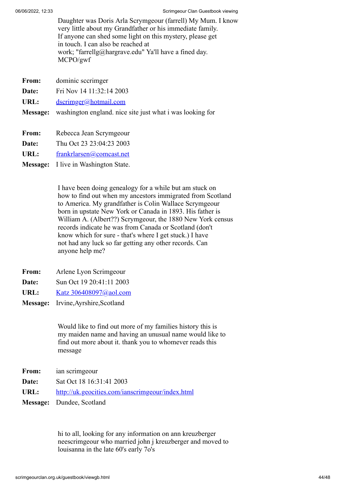Daughter was Doris Arla Scrymgeour (farrell) My Mum. I know very little about my Grandfather or his immediate family. If anyone can shed some light on this mystery, please get in touch. I can also be reached at work; "farrellg@hargrave.edu" Ya'll have a fined day. MCPO/gwf

- **From:** dominic sccrimger
- **Date:** Fri Nov 14 11:32:14 2003

URL: [dscrimger@hotmail.com](https://web.archive.org/web/20131218204208if_/http://www.users.freenetname.co.uk/cgi-bin/guestbook/dscrimger@hotmail.com)

- **Message:** washington england. nice site just what i was looking for
- **From:** Rebecca Jean Scrymgeour
- **Date:** Thu Oct 23 23:04:23 2003
- **URL:** [frankrlarsen@comcast.net](https://web.archive.org/web/20131218204208if_/http://www.users.freenetname.co.uk/cgi-bin/guestbook/frankrlarsen@comcast.net)
- **Message:** I live in Washington State.

I have been doing genealogy for a while but am stuck on how to find out when my ancestors immigrated from Scotland to America. My grandfather is Colin Wallace Scrymgeour born in upstate New York or Canada in 1893. His father is William A. (Albert??) Scrymgeour, the 1880 New York census records indicate he was from Canada or Scotland (don't know which for sure - that's where I get stuck.) I have not had any luck so far getting any other records. Can anyone help me?

- **From:** Arlene Lyon Scrimgeour
- **Date:** Sun Oct 19 20:41:11 2003
- **URL:** [Katz 306408097@aol.com](https://web.archive.org/web/20131218204208if_/http://www.users.freenetname.co.uk/cgi-bin/guestbook/Katz%20306408097@aol.com)
- **Message:** Irvine,Ayrshire,Scotland

Would like to find out more of my families history this is my maiden name and having an unusual name would like to find out more about it. thank you to whomever reads this message

- **From:** ian scrimgeour
- **Date:** Sat Oct 18 16:31:41 2003

**URL:** [http://uk.geocities.com/ianscrimgeour/index.html](https://web.archive.org/web/20131218204208/http://uk.geocities.com/ianscrimgeour/index.html)

**Message:** Dundee, Scotland

hi to all, looking for any information on ann kreuzberger neescrimgeour who married john j kreuzberger and moved to louisanna in the late 60's early 7o's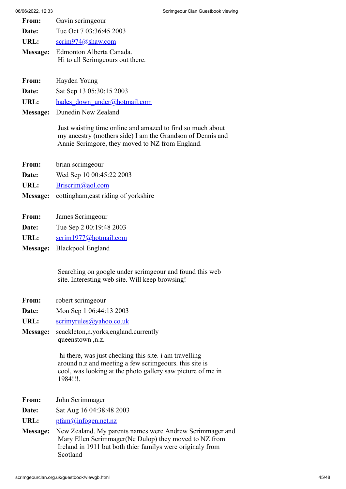| From: | Gavin scrimgeour        |
|-------|-------------------------|
| Date: | Tue Oct 7 03:36:45 2003 |
| URL:  | scrim974@shaw.com       |

- **Message:** Edmonton Alberta Canada. Hi to all Scrimgeours out there.
- **From:** Hayden Young
- **Date:** Sat Sep 13 05:30:15 2003
- URL: hades down under@hotmail.com
- **Message:** Dunedin New Zealand

Just waisting time online and amazed to find so much about my ancestry (mothers side) I am the Grandson of Dennis and Annie Scrimgore, they moved to NZ from England.

- **From:** brian scrimgeour
- **Date:** Wed Sep 10 00:45:22 2003
- URL: [Briscrim@aol.com](https://web.archive.org/web/20131218204208if_/http://www.users.freenetname.co.uk/cgi-bin/guestbook/Briscrim@aol.com)
- **Message:** cottingham,east riding of yorkshire
- **From:** James Scrimgeour
- **Date:** Tue Sep 2 00:19:48 2003
- URL: [scrim1977@hotmail.com](https://web.archive.org/web/20131218204208if_/http://www.users.freenetname.co.uk/cgi-bin/guestbook/scrim1977@hotmail.com)
- **Message:** Blackpool England

Searching on google under scrimgeour and found this web site. Interesting web site. Will keep browsing!

- **From:** robert scrimgeour
- **Date:** Mon Sep 1 06:44:13 2003
- URL: [scrimyrules@yahoo.co.uk](https://web.archive.org/web/20131218204208if_/http://www.users.freenetname.co.uk/cgi-bin/guestbook/scrimyrules@yahoo.co.uk)
- **Message:** scackleton,n.yorks,england.currently queenstown ,n.z.

 hi there, was just checking this site. i am travelling around n.z and meeting a few scrimgeours. this site is cool, was looking at the photo gallery saw picture of me in 1984!!!.

- **From:** John Scrimmager
- **Date:** Sat Aug 16 04:38:48 2003
- URL: [pfam@infogen.net.nz](https://web.archive.org/web/20131218204208if_/http://www.users.freenetname.co.uk/cgi-bin/guestbook/pfam@infogen.net.nz)
- **Message:** New Zealand. My parents names were Andrew Scrimmager and Mary Ellen Scrimmager(Ne Dulop) they moved to NZ from Ireland in 1911 but both thier familys were originaly from Scotland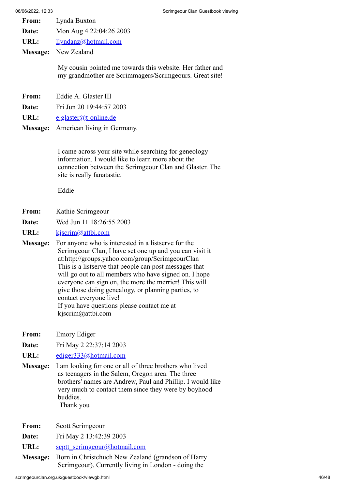- **From:** Lynda Buxton
- **Date:** Mon Aug 4 22:04:26 2003
- **URL:** [llyndanz@hotmail.com](https://web.archive.org/web/20131218204208if_/http://www.users.freenetname.co.uk/cgi-bin/guestbook/llyndanz@hotmail.com)
- **Message:** New Zealand

My cousin pointed me towards this website. Her father and my grandmother are Scrimmagers/Scrimgeours. Great site!

- **From:** Eddie A. Glaster III
- **Date:** Fri Jun 20 19:44:57 2003
- URL: [e.glaster@t-online.de](https://web.archive.org/web/20131218204208if_/http://www.users.freenetname.co.uk/cgi-bin/guestbook/e.glaster@t-online.de)
- **Message:** American living in Germany.

I came across your site while searching for geneology information. I would like to learn more about the connection between the Scrimgeour Clan and Glaster. The site is really fanatastic.

Eddie

- **From:** Kathie Scrimgeour
- **Date:** Wed Jun 11 18:26:55 2003
- **URL:** [kjscrim@attbi.com](https://web.archive.org/web/20131218204208if_/http://www.users.freenetname.co.uk/cgi-bin/guestbook/kjscrim@attbi.com)
- **Message:** For anyone who is interested in a listserve for the Scrimgeour Clan, I have set one up and you can visit it at:http://groups.yahoo.com/group/ScrimgeourClan This is a listserve that people can post messages that will go out to all members who have signed on. I hope everyone can sign on, the more the merrier! This will give those doing genealogy, or planning parties, to contact everyone live! If you have questions please contact me at kjscrim@attbi.com
- **From:** Emory Ediger
- **Date:** Fri May 2 22:37:14 2003
- **URL:** [ediger333@hotmail.com](https://web.archive.org/web/20131218204208if_/http://www.users.freenetname.co.uk/cgi-bin/guestbook/ediger333@hotmail.com)
- **Message:** I am looking for one or all of three brothers who lived as teenagers in the Salem, Oregon area. The three brothers' names are Andrew, Paul and Phillip. I would like very much to contact them since they were by boyhood buddies. Thank you
- **From:** Scott Scrimgeour
- **Date:** Fri May 2 13:42:39 2003
- URL: [scptt\\_scrimgeour@hotmail.com](https://web.archive.org/web/20131218204208if_/http://www.users.freenetname.co.uk/cgi-bin/guestbook/scptt_scrimgeour@hotmail.com)
- **Message:** Born in Christchuch New Zealand (grandson of Harry Scrimgeour). Currently living in London - doing the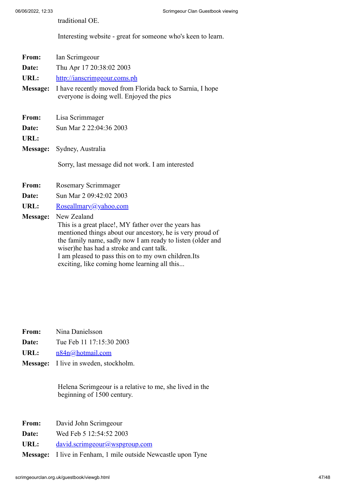traditional OE.

Interesting website - great for someone who's keen to learn.

| From:           | Ian Scrimgeour                                                                                                                                                                                                                                                                                                                                     |  |
|-----------------|----------------------------------------------------------------------------------------------------------------------------------------------------------------------------------------------------------------------------------------------------------------------------------------------------------------------------------------------------|--|
| Date:           | Thu Apr 17 20:38:02 2003                                                                                                                                                                                                                                                                                                                           |  |
| URL:            | http://ianscrimgeour.coms.ph                                                                                                                                                                                                                                                                                                                       |  |
| <b>Message:</b> | I have recently moved from Florida back to Sarnia, I hope<br>everyone is doing well. Enjoyed the pics                                                                                                                                                                                                                                              |  |
| From:           | Lisa Scrimmager                                                                                                                                                                                                                                                                                                                                    |  |
| Date:           | Sun Mar 2 22:04:36 2003                                                                                                                                                                                                                                                                                                                            |  |
| URL:            |                                                                                                                                                                                                                                                                                                                                                    |  |
|                 | Message: Sydney, Australia                                                                                                                                                                                                                                                                                                                         |  |
|                 | Sorry, last message did not work. I am interested                                                                                                                                                                                                                                                                                                  |  |
| From:           | Rosemary Scrimmager                                                                                                                                                                                                                                                                                                                                |  |
| Date:           | Sun Mar 2 09:42:02 2003                                                                                                                                                                                                                                                                                                                            |  |
| URL:            | Roseallmary@yahoo.com                                                                                                                                                                                                                                                                                                                              |  |
| <b>Message:</b> | New Zealand<br>This is a great place!, MY father over the years has<br>mentioned things about our ancestory, he is very proud of<br>the family name, sadly now I am ready to listen (older and<br>wiser)he has had a stroke and cant talk.<br>I am pleased to pass this on to my own children. Its<br>exciting, like coming home learning all this |  |

- **From:** Nina Danielsson
- **Date:** Tue Feb 11 17:15:30 2003
- **URL:** [n84n@hotmail.com](https://web.archive.org/web/20131218204208if_/http://www.users.freenetname.co.uk/cgi-bin/guestbook/n84n@hotmail.com)
- **Message:** I live in sweden, stockholm.

Helena Scrimgeour is a relative to me, she lived in the beginning of 1500 century.

- **From:** David John Scrimgeour
- **Date:** Wed Feb 5 12:54:52 2003
- URL: [david.scrimgeour@wspgroup.com](https://web.archive.org/web/20131218204208if_/http://www.users.freenetname.co.uk/cgi-bin/guestbook/david.scrimgeour@wspgroup.com)
- **Message:** I live in Fenham, 1 mile outside Newcastle upon Tyne